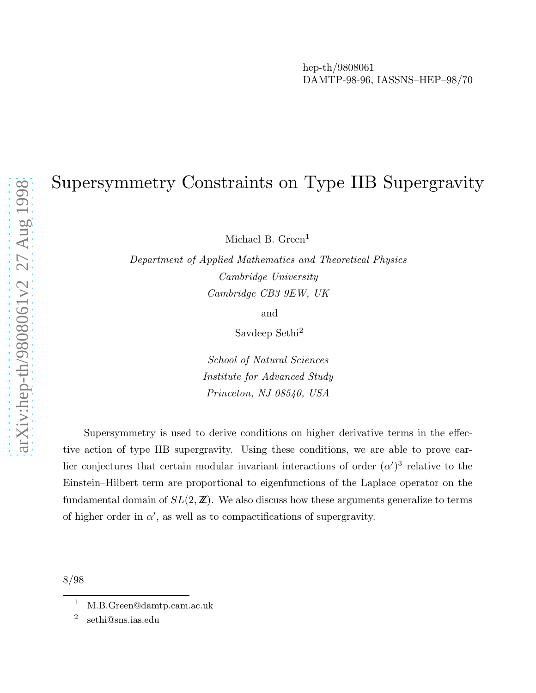# Supersymmetry Constraints on Type IIB Supergravity

Michael B. Green<sup>1</sup>

Department of Applied Mathematics and Theoretical Physics Cambridge University Cambridge CB3 9EW, UK

and

Savdeep Sethi 2

School of Natural Sciences Institute for Advanced Study Princeton, NJ 08540, USA

Supersymmetry is used to derive conditions on higher derivative terms in the effective action of type IIB supergravity. Using these conditions, we are able to prove earlier conjectures that certain modular invariant interactions of order  $(\alpha')^3$  relative to the Einstein–Hilbert term are proportional to eigenfunctions of the Laplace operator on the fundamental domain of  $SL(2, \mathbb{Z})$ . We also discuss how these arguments generalize to terms of higher order in  $\alpha'$ , as well as to compactifications of supergravity.

8/98

<sup>1</sup> M.B.Green@damtp.cam.ac.uk

<sup>2</sup> sethi@sns.ias.edu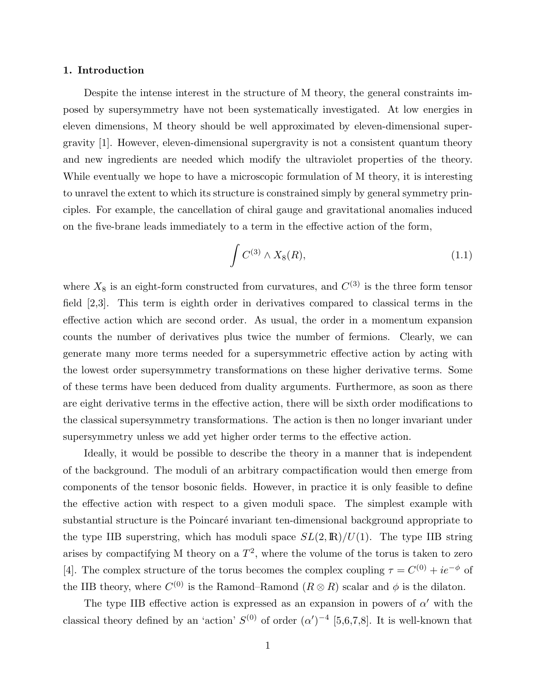# 1. Introduction

Despite the intense interest in the structure of M theory, the general constraints imposed by supersymmetry have not been systematically investigated. At low energies in eleven dimensions, M theory should be well approximated by eleven-dimensional supergravity [1]. However, eleven-dimensional supergravity is not a consistent quantum theory and new ingredients are needed which modify the ultraviolet properties of the theory. While eventually we hope to have a microscopic formulation of M theory, it is interesting to unravel the extent to which its structure is constrained simply by general symmetry principles. For example, the cancellation of chiral gauge and gravitational anomalies induced on the five-brane leads immediately to a term in the effective action of the form,

$$
\int C^{(3)} \wedge X_8(R), \tag{1.1}
$$

where  $X_8$  is an eight-form constructed from curvatures, and  $C^{(3)}$  is the three form tensor field [2,3]. This term is eighth order in derivatives compared to classical terms in the effective action which are second order. As usual, the order in a momentum expansion counts the number of derivatives plus twice the number of fermions. Clearly, we can generate many more terms needed for a supersymmetric effective action by acting with the lowest order supersymmetry transformations on these higher derivative terms. Some of these terms have been deduced from duality arguments. Furthermore, as soon as there are eight derivative terms in the effective action, there will be sixth order modifications to the classical supersymmetry transformations. The action is then no longer invariant under supersymmetry unless we add yet higher order terms to the effective action.

Ideally, it would be possible to describe the theory in a manner that is independent of the background. The moduli of an arbitrary compactification would then emerge from components of the tensor bosonic fields. However, in practice it is only feasible to define the effective action with respect to a given moduli space. The simplest example with substantial structure is the Poincaré invariant ten-dimensional background appropriate to the type IIB superstring, which has moduli space  $SL(2,\mathbb{R})/U(1)$ . The type IIB string arises by compactifying M theory on a  $T^2$ , where the volume of the torus is taken to zero [4]. The complex structure of the torus becomes the complex coupling  $\tau = C^{(0)} + ie^{-\phi}$  of the IIB theory, where  $C^{(0)}$  is the Ramond–Ramond  $(R \otimes R)$  scalar and  $\phi$  is the dilaton.

The type IIB effective action is expressed as an expansion in powers of  $\alpha'$  with the classical theory defined by an 'action'  $S^{(0)}$  of order  $(\alpha')^{-4}$  [5,6,7,8]. It is well-known that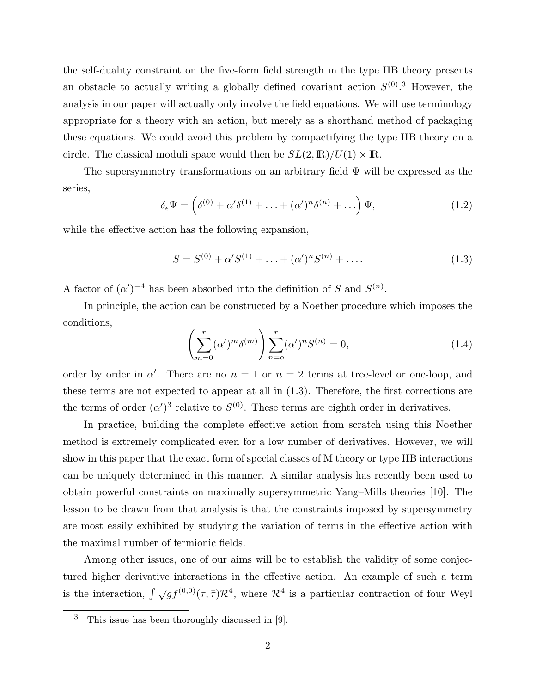the self-duality constraint on the five-form field strength in the type IIB theory presents an obstacle to actually writing a globally defined covariant action  $S^{(0)}$ .<sup>3</sup> However, the analysis in our paper will actually only involve the field equations. We will use terminology appropriate for a theory with an action, but merely as a shorthand method of packaging these equations. We could avoid this problem by compactifying the type IIB theory on a circle. The classical moduli space would then be  $SL(2,\mathbb{R})/U(1)\times\mathbb{R}$ .

The supersymmetry transformations on an arbitrary field  $\Psi$  will be expressed as the series,

$$
\delta_{\epsilon} \Psi = \left( \delta^{(0)} + \alpha' \delta^{(1)} + \ldots + (\alpha')^{n} \delta^{(n)} + \ldots \right) \Psi,
$$
\n(1.2)

while the effective action has the following expansion,

$$
S = S^{(0)} + \alpha' S^{(1)} + \ldots + (\alpha')^{n} S^{(n)} + \ldots
$$
\n(1.3)

A factor of  $(\alpha')^{-4}$  has been absorbed into the definition of S and  $S^{(n)}$ .

In principle, the action can be constructed by a Noether procedure which imposes the conditions,

$$
\left(\sum_{m=0}^{r} (\alpha')^{m} \delta^{(m)}\right) \sum_{n=0}^{r} (\alpha')^{n} S^{(n)} = 0,
$$
\n(1.4)

order by order in  $\alpha'$ . There are no  $n = 1$  or  $n = 2$  terms at tree-level or one-loop, and these terms are not expected to appear at all in (1.3). Therefore, the first corrections are the terms of order  $(\alpha')^3$  relative to  $S^{(0)}$ . These terms are eighth order in derivatives.

In practice, building the complete effective action from scratch using this Noether method is extremely complicated even for a low number of derivatives. However, we will show in this paper that the exact form of special classes of M theory or type IIB interactions can be uniquely determined in this manner. A similar analysis has recently been used to obtain powerful constraints on maximally supersymmetric Yang–Mills theories [10]. The lesson to be drawn from that analysis is that the constraints imposed by supersymmetry are most easily exhibited by studying the variation of terms in the effective action with the maximal number of fermionic fields.

Among other issues, one of our aims will be to establish the validity of some conjectured higher derivative interactions in the effective action. An example of such a term is the interaction,  $\int \sqrt{g} f^{(0,0)}(\tau,\bar{\tau}) \mathcal{R}^4$ , where  $\mathcal{R}^4$  is a particular contraction of four Weyl

<sup>3</sup> This issue has been thoroughly discussed in [9].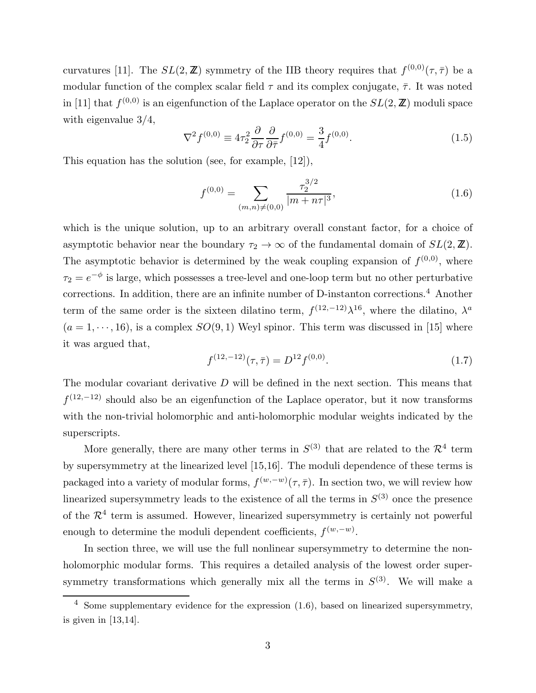curvatures [11]. The  $SL(2,\mathbb{Z})$  symmetry of the IIB theory requires that  $f^{(0,0)}(\tau,\bar{\tau})$  be a modular function of the complex scalar field  $\tau$  and its complex conjugate,  $\bar{\tau}$ . It was noted in [11] that  $f^{(0,0)}$  is an eigenfunction of the Laplace operator on the  $SL(2,\mathbb{Z})$  moduli space with eigenvalue 3/4,

$$
\nabla^2 f^{(0,0)} \equiv 4\tau_2^2 \frac{\partial}{\partial \tau} \frac{\partial}{\partial \bar{\tau}} f^{(0,0)} = \frac{3}{4} f^{(0,0)}.
$$
 (1.5)

This equation has the solution (see, for example, [12]),

$$
f^{(0,0)} = \sum_{(m,n)\neq(0,0)} \frac{\tau_2^{3/2}}{|m+n\tau|^3},\tag{1.6}
$$

which is the unique solution, up to an arbitrary overall constant factor, for a choice of asymptotic behavior near the boundary  $\tau_2 \to \infty$  of the fundamental domain of  $SL(2, \mathbb{Z})$ . The asymptotic behavior is determined by the weak coupling expansion of  $f^{(0,0)}$ , where  $\tau_2 = e^{-\phi}$  is large, which possesses a tree-level and one-loop term but no other perturbative corrections. In addition, there are an infinite number of D-instanton corrections.<sup>4</sup> Another term of the same order is the sixteen dilatino term,  $f^{(12,-12)}\lambda^{16}$ , where the dilatino,  $\lambda^a$  $(a = 1, \dots, 16)$ , is a complex  $SO(9, 1)$  Weyl spinor. This term was discussed in [15] where it was argued that,

$$
f^{(12,-12)}(\tau,\bar{\tau}) = D^{12}f^{(0,0)}.\tag{1.7}
$$

The modular covariant derivative  $D$  will be defined in the next section. This means that  $f^{(12,-12)}$  should also be an eigenfunction of the Laplace operator, but it now transforms with the non-trivial holomorphic and anti-holomorphic modular weights indicated by the superscripts.

More generally, there are many other terms in  $S^{(3)}$  that are related to the  $\mathcal{R}^4$  term by supersymmetry at the linearized level [15,16]. The moduli dependence of these terms is packaged into a variety of modular forms,  $f^{(w,-w)}(\tau,\bar{\tau})$ . In section two, we will review how linearized supersymmetry leads to the existence of all the terms in  $S^{(3)}$  once the presence of the  $\mathcal{R}^4$  term is assumed. However, linearized supersymmetry is certainly not powerful enough to determine the moduli dependent coefficients,  $f^{(w,-w)}$ .

In section three, we will use the full nonlinear supersymmetry to determine the nonholomorphic modular forms. This requires a detailed analysis of the lowest order supersymmetry transformations which generally mix all the terms in  $S^{(3)}$ . We will make a

<sup>4</sup> Some supplementary evidence for the expression (1.6), based on linearized supersymmetry, is given in [13,14].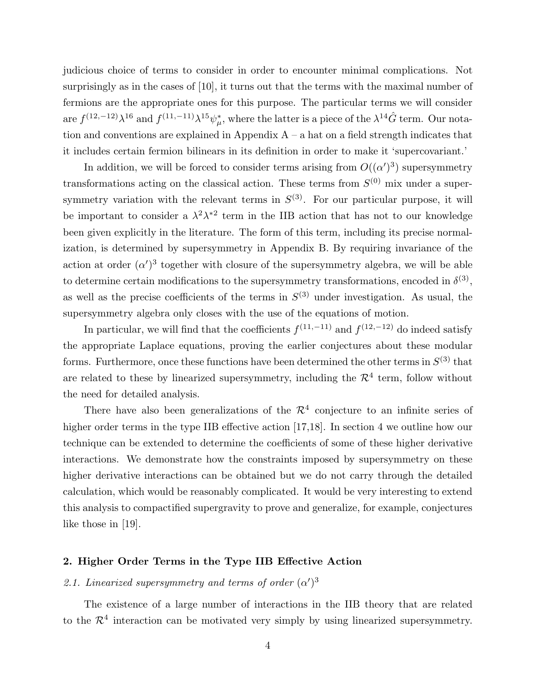judicious choice of terms to consider in order to encounter minimal complications. Not surprisingly as in the cases of [10], it turns out that the terms with the maximal number of fermions are the appropriate ones for this purpose. The particular terms we will consider are  $f^{(12,-12)}\lambda^{16}$  and  $f^{(11,-11)}\lambda^{15}\psi_{\mu}^*$ , where the latter is a piece of the  $\lambda^{14}\hat{G}$  term. Our notation and conventions are explained in Appendix  $A - a$  hat on a field strength indicates that it includes certain fermion bilinears in its definition in order to make it 'supercovariant.'

In addition, we will be forced to consider terms arising from  $O((\alpha')^3)$  supersymmetry transformations acting on the classical action. These terms from  $S^{(0)}$  mix under a supersymmetry variation with the relevant terms in  $S^{(3)}$ . For our particular purpose, it will be important to consider a  $\lambda^2 \lambda^{*2}$  term in the IIB action that has not to our knowledge been given explicitly in the literature. The form of this term, including its precise normalization, is determined by supersymmetry in Appendix B. By requiring invariance of the action at order  $(\alpha')^3$  together with closure of the supersymmetry algebra, we will be able to determine certain modifications to the supersymmetry transformations, encoded in  $\delta^{(3)}$ , as well as the precise coefficients of the terms in  $S^{(3)}$  under investigation. As usual, the supersymmetry algebra only closes with the use of the equations of motion.

In particular, we will find that the coefficients  $f^{(11,-11)}$  and  $f^{(12,-12)}$  do indeed satisfy the appropriate Laplace equations, proving the earlier conjectures about these modular forms. Furthermore, once these functions have been determined the other terms in  $S^{(3)}$  that are related to these by linearized supersymmetry, including the  $\mathcal{R}^4$  term, follow without the need for detailed analysis.

There have also been generalizations of the  $\mathcal{R}^4$  conjecture to an infinite series of higher order terms in the type IIB effective action [17,18]. In section 4 we outline how our technique can be extended to determine the coefficients of some of these higher derivative interactions. We demonstrate how the constraints imposed by supersymmetry on these higher derivative interactions can be obtained but we do not carry through the detailed calculation, which would be reasonably complicated. It would be very interesting to extend this analysis to compactified supergravity to prove and generalize, for example, conjectures like those in [19].

# 2. Higher Order Terms in the Type IIB Effective Action

# 2.1. Linearized supersymmetry and terms of order  $(\alpha')^3$

The existence of a large number of interactions in the IIB theory that are related to the  $\mathcal{R}^4$  interaction can be motivated very simply by using linearized supersymmetry.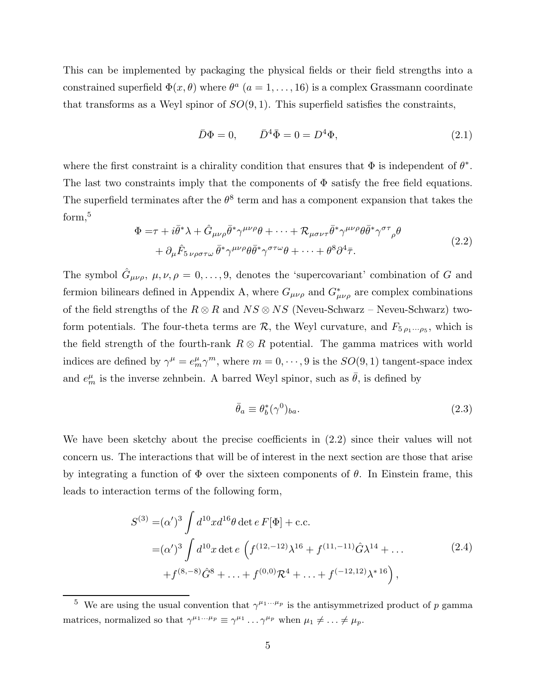This can be implemented by packaging the physical fields or their field strengths into a constrained superfield  $\Phi(x, \theta)$  where  $\theta^a$   $(a = 1, \ldots, 16)$  is a complex Grassmann coordinate that transforms as a Weyl spinor of  $SO(9,1)$ . This superfield satisfies the constraints,

$$
\bar{D}\Phi = 0, \qquad \bar{D}^4 \bar{\Phi} = 0 = D^4 \Phi, \tag{2.1}
$$

where the first constraint is a chirality condition that ensures that  $\Phi$  is independent of  $\theta^*$ . The last two constraints imply that the components of  $\Phi$  satisfy the free field equations. The superfield terminates after the  $\theta^8$  term and has a component expansion that takes the form,<sup>5</sup>

$$
\Phi = \tau + i\bar{\theta}^* \lambda + \hat{G}_{\mu\nu\rho}\bar{\theta}^* \gamma^{\mu\nu\rho}\theta + \dots + \mathcal{R}_{\mu\sigma\nu\tau}\bar{\theta}^* \gamma^{\mu\nu\rho}\theta \bar{\theta}^* \gamma^{\sigma\tau}{}_{\rho}\theta \n+ \partial_{\mu}\hat{F}_{5\nu\rho\sigma\tau\omega}\bar{\theta}^* \gamma^{\mu\nu\rho}\theta \bar{\theta}^* \gamma^{\sigma\tau\omega}\theta + \dots + \theta^8 \partial^4 \bar{\tau}.
$$
\n(2.2)

The symbol  $\hat{G}_{\mu\nu\rho}$ ,  $\mu, \nu, \rho = 0, \ldots, 9$ , denotes the 'supercovariant' combination of G and fermion bilinears defined in Appendix A, where  $G_{\mu\nu\rho}$  and  $G^*_{\mu\nu\rho}$  are complex combinations of the field strengths of the  $R \otimes R$  and  $NS \otimes NS$  (Neveu-Schwarz – Neveu-Schwarz) twoform potentials. The four-theta terms are  $\mathcal{R}$ , the Weyl curvature, and  $F_{5 \rho_1 \cdots \rho_5}$ , which is the field strength of the fourth-rank  $R \otimes R$  potential. The gamma matrices with world indices are defined by  $\gamma^{\mu} = e_m^{\mu} \gamma^m$ , where  $m = 0, \dots, 9$  is the  $SO(9, 1)$  tangent-space index and  $e_m^{\mu}$  is the inverse zehnbein. A barred Weyl spinor, such as  $\bar{\theta}$ , is defined by

$$
\bar{\theta}_a \equiv \theta_b^*(\gamma^0)_{ba}.\tag{2.3}
$$

We have been sketchy about the precise coefficients in (2.2) since their values will not concern us. The interactions that will be of interest in the next section are those that arise by integrating a function of  $\Phi$  over the sixteen components of  $\theta$ . In Einstein frame, this leads to interaction terms of the following form,

$$
S^{(3)} = (\alpha')^3 \int d^{10}x d^{16}\theta \det e \, F[\Phi] + \text{c.c.}
$$
  
=  $(\alpha')^3 \int d^{10}x \det e \, \left( f^{(12, -12)} \lambda^{16} + f^{(11, -11)} \hat{G} \lambda^{14} + \dots \right)$   
+  $f^{(8, -8)} \hat{G}^8 + \dots + f^{(0, 0)} \mathcal{R}^4 + \dots + f^{(-12, 12)} \lambda^{*16} \right),$  (2.4)

<sup>&</sup>lt;sup>5</sup> We are using the usual convention that  $\gamma^{\mu_1...\mu_p}$  is the antisymmetrized product of p gamma matrices, normalized so that  $\gamma^{\mu_1...\mu_p} \equiv \gamma^{\mu_1} \dots \gamma^{\mu_p}$  when  $\mu_1 \neq \dots \neq \mu_p$ .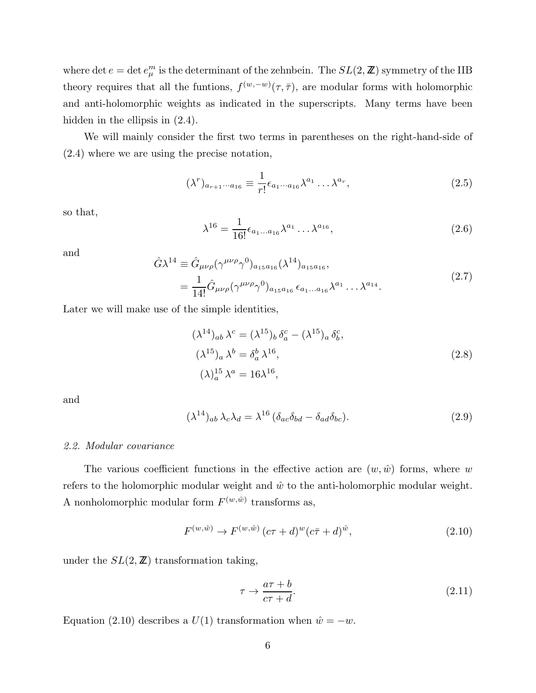where det  $e = \det e^m_\mu$  is the determinant of the zehnbein. The  $SL(2, \mathbb{Z})$  symmetry of the IIB theory requires that all the funtions,  $f^{(w,-w)}(\tau,\bar{\tau})$ , are modular forms with holomorphic and anti-holomorphic weights as indicated in the superscripts. Many terms have been hidden in the ellipsis in  $(2.4)$ .

We will mainly consider the first two terms in parentheses on the right-hand-side of (2.4) where we are using the precise notation,

$$
(\lambda^r)_{a_{r+1}\cdots a_{16}} \equiv \frac{1}{r!} \epsilon_{a_1\cdots a_{16}} \lambda^{a_1} \cdots \lambda^{a_r}, \qquad (2.5)
$$

so that,

$$
\lambda^{16} = \frac{1}{16!} \epsilon_{a_1...a_{16}} \lambda^{a_1} ... \lambda^{a_{16}}, \qquad (2.6)
$$

and

$$
\hat{G}\lambda^{14} \equiv \hat{G}_{\mu\nu\rho}(\gamma^{\mu\nu\rho}\gamma^{0})_{a_{15}a_{16}}(\lambda^{14})_{a_{15}a_{16}},
$$
\n
$$
= \frac{1}{14!}\hat{G}_{\mu\nu\rho}(\gamma^{\mu\nu\rho}\gamma^{0})_{a_{15}a_{16}}\epsilon_{a_{1}...a_{16}}\lambda^{a_{1}}\dots\lambda^{a_{14}}.
$$
\n(2.7)

Later we will make use of the simple identities,

$$
(\lambda^{14})_{ab} \lambda^c = (\lambda^{15})_b \delta^c_a - (\lambda^{15})_a \delta^c_b,
$$
  
\n
$$
(\lambda^{15})_a \lambda^b = \delta^b_a \lambda^{16},
$$
  
\n
$$
(\lambda)^{15}_a \lambda^a = 16\lambda^{16},
$$
  
\n(2.8)

and

$$
(\lambda^{14})_{ab}\lambda_c\lambda_d = \lambda^{16} \left(\delta_{ac}\delta_{bd} - \delta_{ad}\delta_{bc}\right).
$$
 (2.9)

# 2.2. Modular covariance

The various coefficient functions in the effective action are  $(w, \hat{w})$  forms, where w refers to the holomorphic modular weight and  $\hat{w}$  to the anti-holomorphic modular weight. A nonholomorphic modular form  $F^{(w,\hat{w})}$  transforms as,

$$
F^{(w,\hat{w})} \to F^{(w,\hat{w})} (c\tau + d)^{w} (c\bar{\tau} + d)^{\hat{w}}, \tag{2.10}
$$

under the  $SL(2, \mathbb{Z})$  transformation taking,

$$
\tau \to \frac{a\tau + b}{c\tau + d}.\tag{2.11}
$$

Equation (2.10) describes a  $U(1)$  transformation when  $\hat{w} = -w$ .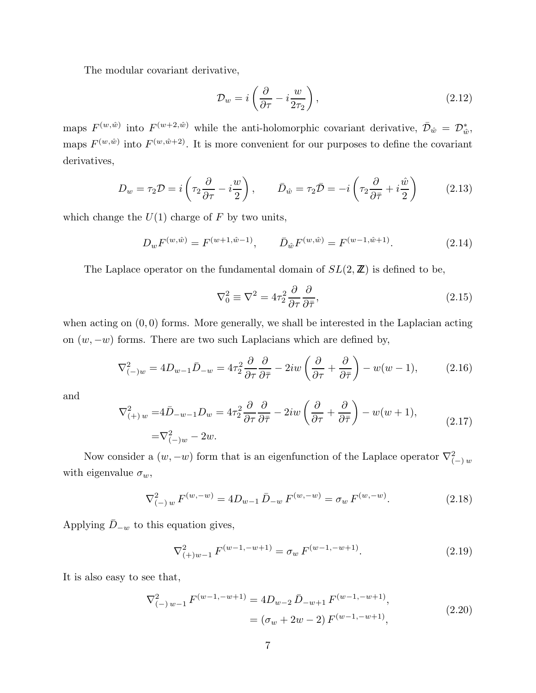The modular covariant derivative,

$$
\mathcal{D}_w = i \left( \frac{\partial}{\partial \tau} - i \frac{w}{2\tau_2} \right),\tag{2.12}
$$

maps  $F^{(w,\hat{w})}$  into  $F^{(w+2,\hat{w})}$  while the anti-holomorphic covariant derivative,  $\bar{\mathcal{D}}_{\hat{w}} = \mathcal{D}^*_{\hat{w}},$ maps  $F^{(w,\hat{w})}$  into  $F^{(w,\hat{w}+2)}$ . It is more convenient for our purposes to define the covariant derivatives,

$$
D_w = \tau_2 \mathcal{D} = i \left( \tau_2 \frac{\partial}{\partial \tau} - i \frac{w}{2} \right), \qquad \bar{D}_{\hat{w}} = \tau_2 \bar{\mathcal{D}} = -i \left( \tau_2 \frac{\partial}{\partial \bar{\tau}} + i \frac{\hat{w}}{2} \right) \tag{2.13}
$$

which change the  $U(1)$  charge of F by two units,

$$
D_w F^{(w,\hat{w})} = F^{(w+1,\hat{w}-1)}, \qquad \bar{D}_{\hat{w}} F^{(w,\hat{w})} = F^{(w-1,\hat{w}+1)}.
$$
 (2.14)

The Laplace operator on the fundamental domain of  $SL(2, \mathbb{Z})$  is defined to be,

$$
\nabla_0^2 \equiv \nabla^2 = 4\tau_2^2 \frac{\partial}{\partial \tau} \frac{\partial}{\partial \bar{\tau}},\tag{2.15}
$$

when acting on  $(0, 0)$  forms. More generally, we shall be interested in the Laplacian acting on  $(w, -w)$  forms. There are two such Laplacians which are defined by,

$$
\nabla_{(-)w}^2 = 4D_{w-1}\bar{D}_{-w} = 4\tau_2^2 \frac{\partial}{\partial \tau} \frac{\partial}{\partial \bar{\tau}} - 2iw \left(\frac{\partial}{\partial \tau} + \frac{\partial}{\partial \bar{\tau}}\right) - w(w-1),\tag{2.16}
$$

and

$$
\nabla^2_{(+)w} = 4\bar{D}_{-w-1}D_w = 4\tau_2^2 \frac{\partial}{\partial \tau} \frac{\partial}{\partial \bar{\tau}} - 2iw \left(\frac{\partial}{\partial \tau} + \frac{\partial}{\partial \bar{\tau}}\right) - w(w+1),
$$
  
=  $\nabla^2_{(-)w} - 2w.$  (2.17)

Now consider a  $(w, -w)$  form that is an eigenfunction of the Laplace operator  $\nabla^2_{(-) w}$ with eigenvalue  $\sigma_w$ ,

$$
\nabla_{(-) w}^{2} F^{(w,-w)} = 4D_{w-1} \bar{D}_{-w} F^{(w,-w)} = \sigma_w F^{(w,-w)}.
$$
\n(2.18)

Applying  $\bar{D}_{-w}$  to this equation gives,

$$
\nabla_{(+)w-1}^2 F^{(w-1,-w+1)} = \sigma_w F^{(w-1,-w+1)}.
$$
\n(2.19)

It is also easy to see that,

$$
\nabla_{(-) w-1}^{2} F^{(w-1,-w+1)} = 4D_{w-2} \bar{D}_{-w+1} F^{(w-1,-w+1)},
$$
  
=  $(\sigma_w + 2w - 2) F^{(w-1,-w+1)},$  (2.20)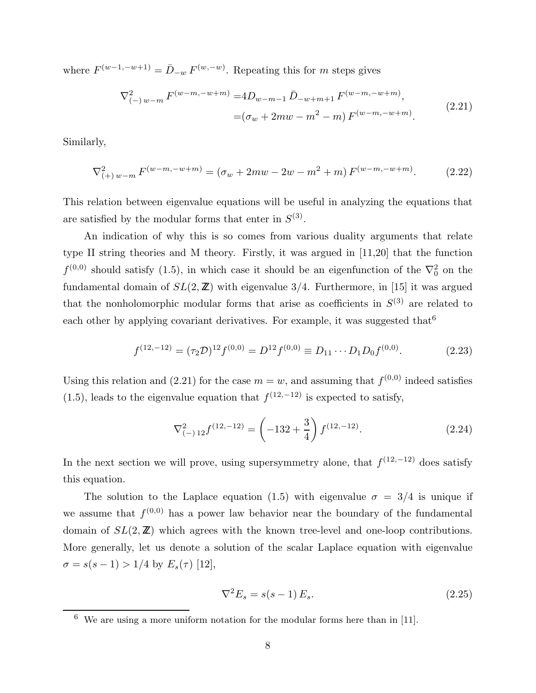where  $F^{(w-1,-w+1)} = \bar{D}_{-w} F^{(w,-w)}$ . Repeating this for m steps gives

$$
\nabla_{(-) w-m}^{2} F^{(w-m,-w+m)} = 4D_{w-m-1} \bar{D}_{-w+m+1} F^{(w-m,-w+m)},
$$
  
=  $(\sigma_w + 2mw - m^2 - m) F^{(w-m,-w+m)}.$  (2.21)

Similarly,

$$
\nabla_{(+) w-m}^{2} F^{(w-m,-w+m)} = (\sigma_w + 2mw - 2w - m^2 + m) F^{(w-m,-w+m)}.
$$
 (2.22)

This relation between eigenvalue equations will be useful in analyzing the equations that are satisfied by the modular forms that enter in  $S^{(3)}$ .

An indication of why this is so comes from various duality arguments that relate type II string theories and M theory. Firstly, it was argued in [11,20] that the function  $f^{(0,0)}$  should satisfy (1.5), in which case it should be an eigenfunction of the  $\nabla_0^2$  on the fundamental domain of  $SL(2, \mathbb{Z})$  with eigenvalue 3/4. Furthermore, in [15] it was argued that the nonholomorphic modular forms that arise as coefficients in  $S^{(3)}$  are related to each other by applying covariant derivatives. For example, it was suggested that  $6$ 

$$
f^{(12,-12)} = (\tau_2 \mathcal{D})^{12} f^{(0,0)} = D^{12} f^{(0,0)} \equiv D_{11} \cdots D_1 D_0 f^{(0,0)}.
$$
 (2.23)

Using this relation and (2.21) for the case  $m = w$ , and assuming that  $f^{(0,0)}$  indeed satisfies  $(1.5)$ , leads to the eigenvalue equation that  $f^{(12,-12)}$  is expected to satisfy,

$$
\nabla_{(-) 12}^2 f^{(12,-12)} = \left(-132 + \frac{3}{4}\right) f^{(12,-12)}.
$$
\n(2.24)

In the next section we will prove, using supersymmetry alone, that  $f^{(12,-12)}$  does satisfy this equation.

The solution to the Laplace equation (1.5) with eigenvalue  $\sigma = 3/4$  is unique if we assume that  $f^{(0,0)}$  has a power law behavior near the boundary of the fundamental domain of  $SL(2, \mathbb{Z})$  which agrees with the known tree-level and one-loop contributions. More generally, let us denote a solution of the scalar Laplace equation with eigenvalue  $\sigma = s(s-1) > 1/4$  by  $E_s(\tau)$  [12],

$$
\nabla^2 E_s = s(s-1) E_s. \tag{2.25}
$$

 $6\,$  We are using a more uniform notation for the modular forms here than in [11].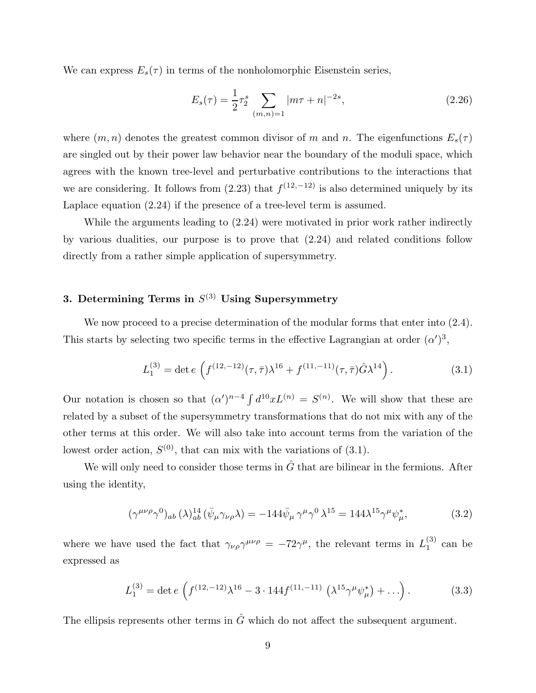We can express  $E_s(\tau)$  in terms of the nonholomorphic Eisenstein series,

$$
E_s(\tau) = \frac{1}{2}\tau_2^s \sum_{(m,n)=1} |m\tau + n|^{-2s},\tag{2.26}
$$

where  $(m, n)$  denotes the greatest common divisor of m and n. The eigenfunctions  $E_s(\tau)$ are singled out by their power law behavior near the boundary of the moduli space, which agrees with the known tree-level and perturbative contributions to the interactions that we are considering. It follows from  $(2.23)$  that  $f^{(12,-12)}$  is also determined uniquely by its Laplace equation (2.24) if the presence of a tree-level term is assumed.

While the arguments leading to  $(2.24)$  were motivated in prior work rather indirectly by various dualities, our purpose is to prove that (2.24) and related conditions follow directly from a rather simple application of supersymmetry.

# 3. Determining Terms in  $S^{(3)}$  Using Supersymmetry

We now proceed to a precise determination of the modular forms that enter into  $(2.4)$ . This starts by selecting two specific terms in the effective Lagrangian at order  $(\alpha')^3$ ,

$$
L_1^{(3)} = \det e \left( f^{(12, -12)}(\tau, \bar{\tau}) \lambda^{16} + f^{(11, -11)}(\tau, \bar{\tau}) \hat{G} \lambda^{14} \right).
$$
 (3.1)

Our notation is chosen so that  $(\alpha')^{n-4} \int d^{10}x L^{(n)} = S^{(n)}$ . We will show that these are related by a subset of the supersymmetry transformations that do not mix with any of the other terms at this order. We will also take into account terms from the variation of the lowest order action,  $S^{(0)}$ , that can mix with the variations of  $(3.1)$ .

We will only need to consider those terms in  $\hat{G}$  that are bilinear in the fermions. After using the identity,

$$
(\gamma^{\mu\nu\rho}\gamma^0)_{ab} (\lambda)^{14}_{ab} (\bar{\psi}_{\mu}\gamma_{\nu\rho}\lambda) = -144 \bar{\psi}_{\mu} \gamma^{\mu} \gamma^0 \lambda^{15} = 144 \lambda^{15} \gamma^{\mu} \psi_{\mu}^*,
$$
 (3.2)

where we have used the fact that  $\gamma_{\nu\rho}\gamma^{\mu\nu\rho} = -72\gamma^{\mu}$ , the relevant terms in  $L_1^{(3)}$  $_1^{(5)}$  can be expressed as

$$
L_1^{(3)} = \det e \left( f^{(12, -12)} \lambda^{16} - 3 \cdot 144 f^{(11, -11)} \left( \lambda^{15} \gamma^\mu \psi_\mu^* \right) + \ldots \right). \tag{3.3}
$$

The ellipsis represents other terms in  $\hat{G}$  which do not affect the subsequent argument.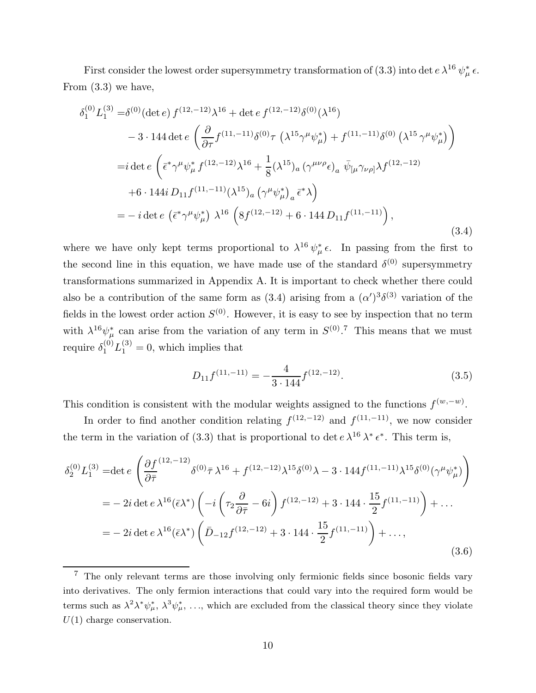First consider the lowest order supersymmetry transformation of (3.3) into det  $e \lambda^{16} \psi^*_{\mu} \epsilon$ . From (3.3) we have,

$$
\delta_{1}^{(0)} L_{1}^{(3)} = \delta^{(0)} (\det e) f^{(12, -12)} \lambda^{16} + \det e f^{(12, -12)} \delta^{(0)} (\lambda^{16})
$$
  
\n
$$
- 3 \cdot 144 \det e \left( \frac{\partial}{\partial \tau} f^{(11, -11)} \delta^{(0)} \tau (\lambda^{15} \gamma^{\mu} \psi_{\mu}^{*}) + f^{(11, -11)} \delta^{(0)} (\lambda^{15} \gamma^{\mu} \psi_{\mu}^{*}) \right)
$$
  
\n
$$
= i \det e \left( \bar{\epsilon}^{*} \gamma^{\mu} \psi_{\mu}^{*} f^{(12, -12)} \lambda^{16} + \frac{1}{8} (\lambda^{15})_{a} (\gamma^{\mu \nu \rho} \epsilon)_{a} \bar{\psi}_{[\mu} \gamma_{\nu \rho]} \lambda f^{(12, -12)}
$$
  
\n
$$
+ 6 \cdot 144 i D_{11} f^{(11, -11)} (\lambda^{15})_{a} (\gamma^{\mu} \psi_{\mu}^{*})_{a} \bar{\epsilon}^{*} \lambda \right)
$$
  
\n
$$
= - i \det e (\bar{\epsilon}^{*} \gamma^{\mu} \psi_{\mu}^{*}) \lambda^{16} \left( 8 f^{(12, -12)} + 6 \cdot 144 D_{11} f^{(11, -11)} \right),
$$
  
\n(3.4)

where we have only kept terms proportional to  $\lambda^{16} \psi_{\mu}^* \epsilon$ . In passing from the first to the second line in this equation, we have made use of the standard  $\delta^{(0)}$  supersymmetry transformations summarized in Appendix A. It is important to check whether there could also be a contribution of the same form as  $(3.4)$  arising from a  $(\alpha')^{3}\delta^{(3)}$  variation of the fields in the lowest order action  $S^{(0)}$ . However, it is easy to see by inspection that no term with  $\lambda^{16}\psi^*_{\mu}$  can arise from the variation of any term in  $S^{(0)}$ .<sup>7</sup> This means that we must require  $\delta_1^{(0)} L_1^{(3)} = 0$ , which implies that

$$
D_{11}f^{(11,-11)} = -\frac{4}{3 \cdot 144} f^{(12,-12)}.
$$
\n(3.5)

This condition is consistent with the modular weights assigned to the functions  $f^{(w,-w)}$ .

In order to find another condition relating  $f^{(12,-12)}$  and  $f^{(11,-11)}$ , we now consider the term in the variation of (3.3) that is proportional to det  $e \lambda^{16} \lambda^* \epsilon^*$ . This term is,

$$
\delta_2^{(0)} L_1^{(3)} = \det e \left( \frac{\partial f^{(12,-12)}}{\partial \overline{\tau}} \delta^{(0)} \overline{\tau} \lambda^{16} + f^{(12,-12)} \lambda^{15} \delta^{(0)} \lambda - 3 \cdot 144 f^{(11,-11)} \lambda^{15} \delta^{(0)} (\gamma^\mu \psi_\mu^*) \right)
$$
  
=  $- 2i \det e \lambda^{16} (\overline{\epsilon} \lambda^*) \left( -i \left( \tau_2 \frac{\partial}{\partial \overline{\tau}} - 6i \right) f^{(12,-12)} + 3 \cdot 144 \cdot \frac{15}{2} f^{(11,-11)} \right) + \dots$   
=  $- 2i \det e \lambda^{16} (\overline{\epsilon} \lambda^*) \left( \overline{D}_{-12} f^{(12,-12)} + 3 \cdot 144 \cdot \frac{15}{2} f^{(11,-11)} \right) + \dots,$  (3.6)

<sup>7</sup> The only relevant terms are those involving only fermionic fields since bosonic fields vary into derivatives. The only fermion interactions that could vary into the required form would be terms such as  $\lambda^2 \lambda^* \psi_{\mu}^*, \lambda^3 \psi_{\mu}^*, \ldots$ , which are excluded from the classical theory since they violate  $U(1)$  charge conservation.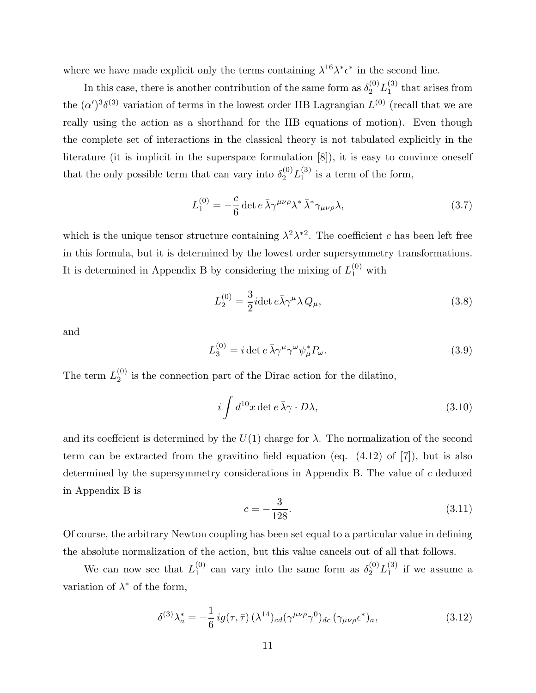where we have made explicit only the terms containing  $\lambda^{16}\lambda^* \epsilon^*$  in the second line.

In this case, there is another contribution of the same form as  $\delta_2^{(0)} L_1^{(3)}$  $_1^{(5)}$  that arises from the  $(\alpha')^{3}\delta^{(3)}$  variation of terms in the lowest order IIB Lagrangian  $L^{(0)}$  (recall that we are really using the action as a shorthand for the IIB equations of motion). Even though the complete set of interactions in the classical theory is not tabulated explicitly in the literature (it is implicit in the superspace formulation [8]), it is easy to convince oneself that the only possible term that can vary into  $\delta_2^{(0)} L_1^{(3)}$  $_1^{(3)}$  is a term of the form,

$$
L_1^{(0)} = -\frac{c}{6} \det e \,\overline{\lambda} \gamma^{\mu\nu\rho} \lambda^* \,\overline{\lambda}^* \gamma_{\mu\nu\rho} \lambda,\tag{3.7}
$$

which is the unique tensor structure containing  $\lambda^2 \lambda^{*2}$ . The coefficient c has been left free in this formula, but it is determined by the lowest order supersymmetry transformations. It is determined in Appendix B by considering the mixing of  $L_1^{(0)}$  with

$$
L_2^{(0)} = \frac{3}{2} i \det e \bar{\lambda} \gamma^\mu \lambda Q_\mu,
$$
\n(3.8)

and

$$
L_3^{(0)} = i \det e \,\overline{\lambda} \gamma^\mu \gamma^\omega \psi_\mu^* P_\omega. \tag{3.9}
$$

The term  $L_2^{(0)}$  $_2^{\text{(0)}}$  is the connection part of the Dirac action for the dilatino,

$$
i \int d^{10}x \det e \,\overline{\lambda}\gamma \cdot D\lambda,\tag{3.10}
$$

and its coeffcient is determined by the  $U(1)$  charge for  $\lambda$ . The normalization of the second term can be extracted from the gravitino field equation (eq. (4.12) of [7]), but is also determined by the supersymmetry considerations in Appendix B. The value of c deduced in Appendix B is

$$
c = -\frac{3}{128}.\tag{3.11}
$$

Of course, the arbitrary Newton coupling has been set equal to a particular value in defining the absolute normalization of the action, but this value cancels out of all that follows.

We can now see that  $L_1^{(0)}$  $_1^{(0)}$  can vary into the same form as  $\delta_2^{(0)} L_1^{(3)}$  $i^{(5)}$  if we assume a variation of  $\lambda^*$  of the form,

$$
\delta^{(3)}\lambda_a^* = -\frac{1}{6}ig(\tau,\bar{\tau})\,(\lambda^{14})_{cd}(\gamma^{\mu\nu\rho}\gamma^0)_{dc}\,(\gamma_{\mu\nu\rho}\epsilon^*)_a,\tag{3.12}
$$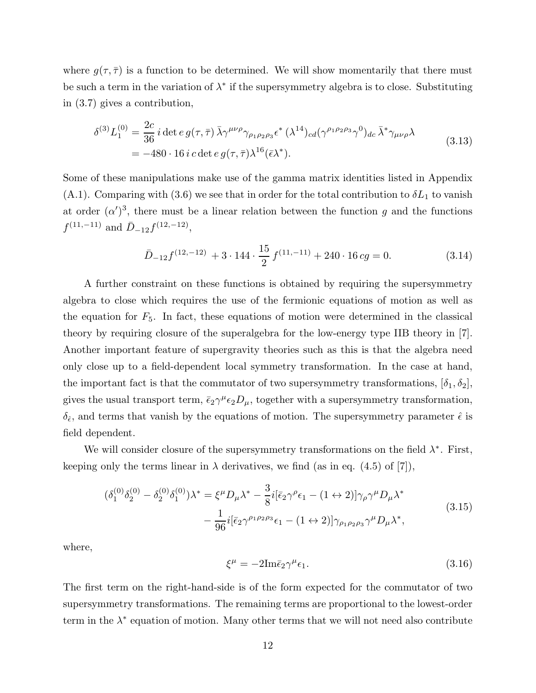where  $g(\tau, \overline{\tau})$  is a function to be determined. We will show momentarily that there must be such a term in the variation of  $\lambda^*$  if the supersymmetry algebra is to close. Substituting in (3.7) gives a contribution,

$$
\delta^{(3)} L_1^{(0)} = \frac{2c}{36} i \det e g(\tau, \bar{\tau}) \bar{\lambda} \gamma^{\mu\nu\rho} \gamma_{\rho_1 \rho_2 \rho_3} \epsilon^* (\lambda^{14})_{cd} (\gamma^{\rho_1 \rho_2 \rho_3} \gamma^0)_{dc} \bar{\lambda}^* \gamma_{\mu\nu\rho} \lambda
$$
\n
$$
= -480 \cdot 16 i c \det e g(\tau, \bar{\tau}) \lambda^{16} (\bar{\epsilon} \lambda^*).
$$
\n(3.13)

Some of these manipulations make use of the gamma matrix identities listed in Appendix (A.1). Comparing with (3.6) we see that in order for the total contribution to  $\delta L_1$  to vanish at order  $(\alpha')^3$ , there must be a linear relation between the function g and the functions  $f^{(11,-11)}$  and  $\bar{D}_{-12}f^{(12,-12)}$ ,

$$
\bar{D}_{-12}f^{(12,-12)} + 3 \cdot 144 \cdot \frac{15}{2} f^{(11,-11)} + 240 \cdot 16 cg = 0.
$$
 (3.14)

A further constraint on these functions is obtained by requiring the supersymmetry algebra to close which requires the use of the fermionic equations of motion as well as the equation for  $F_5$ . In fact, these equations of motion were determined in the classical theory by requiring closure of the superalgebra for the low-energy type IIB theory in [7]. Another important feature of supergravity theories such as this is that the algebra need only close up to a field-dependent local symmetry transformation. In the case at hand, the important fact is that the commutator of two supersymmetry transformations,  $[\delta_1, \delta_2]$ , gives the usual transport term,  $\bar{\epsilon}_2 \gamma^{\mu} \epsilon_2 D_{\mu}$ , together with a supersymmetry transformation,  $\delta_{\hat{\epsilon}}$ , and terms that vanish by the equations of motion. The supersymmetry parameter  $\hat{\epsilon}$  is field dependent.

We will consider closure of the supersymmetry transformations on the field  $\lambda^*$ . First, keeping only the terms linear in  $\lambda$  derivatives, we find (as in eq. (4.5) of [7]),

$$
(\delta_1^{(0)}\delta_2^{(0)} - \delta_2^{(0)}\delta_1^{(0)})\lambda^* = \xi^\mu D_\mu \lambda^* - \frac{3}{8}i[\bar{\epsilon}_2\gamma^\rho \epsilon_1 - (1 \leftrightarrow 2)]\gamma_\rho \gamma^\mu D_\mu \lambda^*
$$
  

$$
-\frac{1}{96}i[\bar{\epsilon}_2\gamma^{\rho_1 \rho_2 \rho_3}\epsilon_1 - (1 \leftrightarrow 2)]\gamma_{\rho_1 \rho_2 \rho_3}\gamma^\mu D_\mu \lambda^*,
$$
(3.15)

where,

$$
\xi^{\mu} = -2\mathrm{Im}\bar{\epsilon}_{2}\gamma^{\mu}\epsilon_{1}.\tag{3.16}
$$

The first term on the right-hand-side is of the form expected for the commutator of two supersymmetry transformations. The remaining terms are proportional to the lowest-order term in the  $\lambda^*$  equation of motion. Many other terms that we will not need also contribute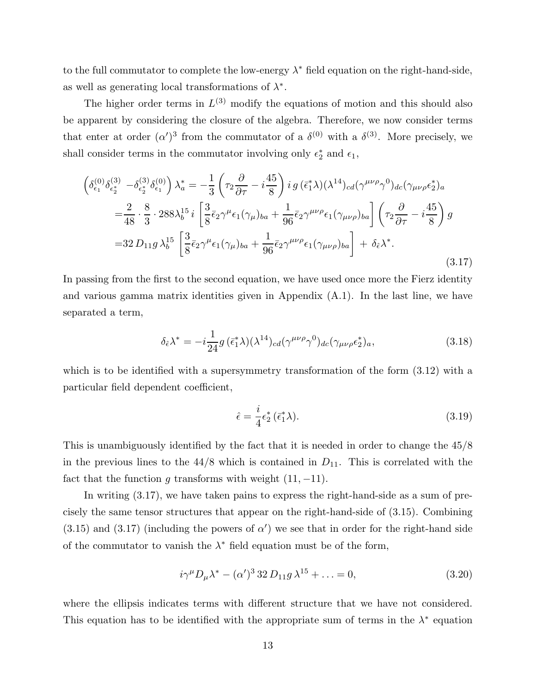to the full commutator to complete the low-energy  $\lambda^*$  field equation on the right-hand-side, as well as generating local transformations of  $\lambda^*$ .

The higher order terms in  $L^{(3)}$  modify the equations of motion and this should also be apparent by considering the closure of the algebra. Therefore, we now consider terms that enter at order  $(\alpha')^3$  from the commutator of a  $\delta^{(0)}$  with a  $\delta^{(3)}$ . More precisely, we shall consider terms in the commutator involving only  $\epsilon_2^*$  and  $\epsilon_1$ ,

$$
\begin{split}\n\left(\delta_{\epsilon_1}^{(0)}\delta_{\epsilon_2^*}^{(3)} - \delta_{\epsilon_2^*}^{(3)}\delta_{\epsilon_1}^{(0)}\right)\lambda_a^* &= -\frac{1}{3}\left(\tau_2\frac{\partial}{\partial\tau} - i\frac{45}{8}\right)i g\left(\bar{\epsilon}_1^*\lambda\right)(\lambda^{14})_{cd}(\gamma^{\mu\nu\rho}\gamma^0)_{dc}(\gamma_{\mu\nu\rho}\epsilon_2^*)_a \\
&= \frac{2}{48} \cdot \frac{8}{3} \cdot 288\lambda_b^{15} i \left[\frac{3}{8}\bar{\epsilon}_2\gamma^\mu\epsilon_1(\gamma_\mu)_{ba} + \frac{1}{96}\bar{\epsilon}_2\gamma^{\mu\nu\rho}\epsilon_1(\gamma_{\mu\nu\rho})_{ba}\right] \left(\tau_2\frac{\partial}{\partial\tau} - i\frac{45}{8}\right)g \\
&= 32 D_{11}g\,\lambda_b^{15} \left[\frac{3}{8}\bar{\epsilon}_2\gamma^\mu\epsilon_1(\gamma_\mu)_{ba} + \frac{1}{96}\bar{\epsilon}_2\gamma^{\mu\nu\rho}\epsilon_1(\gamma_{\mu\nu\rho})_{ba}\right] + \delta_{\hat{\epsilon}}\lambda^*. \n\end{split} \tag{3.17}
$$

In passing from the first to the second equation, we have used once more the Fierz identity and various gamma matrix identities given in Appendix (A.1). In the last line, we have separated a term,

$$
\delta_{\hat{\epsilon}} \lambda^* = -i \frac{1}{24} g(\bar{\epsilon}_1^* \lambda) (\lambda^{14})_{cd} (\gamma^{\mu \nu \rho} \gamma^0)_{dc} (\gamma_{\mu \nu \rho} \epsilon_2^*)_a, \tag{3.18}
$$

which is to be identified with a supersymmetry transformation of the form  $(3.12)$  with a particular field dependent coefficient,

$$
\hat{\epsilon} = \frac{i}{4} \epsilon_2^* \left( \bar{\epsilon}_1^* \lambda \right). \tag{3.19}
$$

This is unambiguously identified by the fact that it is needed in order to change the 45/8 in the previous lines to the  $44/8$  which is contained in  $D_{11}$ . This is correlated with the fact that the function g transforms with weight  $(11, -11)$ .

In writing (3.17), we have taken pains to express the right-hand-side as a sum of precisely the same tensor structures that appear on the right-hand-side of (3.15). Combining  $(3.15)$  and  $(3.17)$  (including the powers of  $\alpha'$ ) we see that in order for the right-hand side of the commutator to vanish the  $\lambda^*$  field equation must be of the form,

$$
i\gamma^{\mu}D_{\mu}\lambda^{*} - (\alpha')^{3} 32 D_{11}g \lambda^{15} + \dots = 0,
$$
\n(3.20)

where the ellipsis indicates terms with different structure that we have not considered. This equation has to be identified with the appropriate sum of terms in the  $\lambda^*$  equation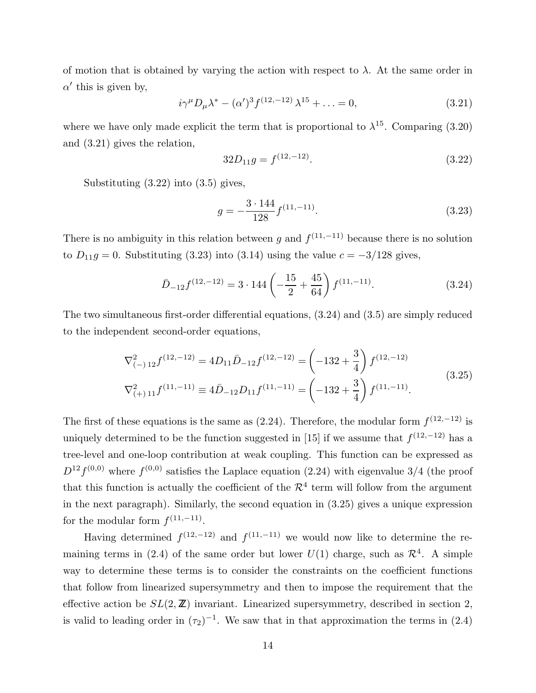of motion that is obtained by varying the action with respect to  $\lambda$ . At the same order in  $\alpha'$  this is given by,

$$
i\gamma^{\mu}D_{\mu}\lambda^{*} - (\alpha')^{3}f^{(12,-12)}\lambda^{15} + \ldots = 0, \qquad (3.21)
$$

where we have only made explicit the term that is proportional to  $\lambda^{15}$ . Comparing (3.20) and (3.21) gives the relation,

$$
32D_{11}g = f^{(12,-12)}.
$$
\n(3.22)

Substituting  $(3.22)$  into  $(3.5)$  gives,

$$
g = -\frac{3 \cdot 144}{128} f^{(11, -11)}.\t(3.23)
$$

There is no ambiguity in this relation between g and  $f^{(11,-11)}$  because there is no solution to  $D_{11}g = 0$ . Substituting (3.23) into (3.14) using the value  $c = -3/128$  gives,

$$
\bar{D}_{-12}f^{(12,-12)} = 3.144 \left( -\frac{15}{2} + \frac{45}{64} \right) f^{(11,-11)}.
$$
\n(3.24)

The two simultaneous first-order differential equations, (3.24) and (3.5) are simply reduced to the independent second-order equations,

$$
\nabla_{(-) 12}^2 f^{(12,-12)} = 4D_{11} \bar{D}_{-12} f^{(12,-12)} = \left(-132 + \frac{3}{4}\right) f^{(12,-12)} \n\nabla_{(+) 11}^2 f^{(11,-11)} = 4\bar{D}_{-12} D_{11} f^{(11,-11)} = \left(-132 + \frac{3}{4}\right) f^{(11,-11)}.
$$
\n(3.25)

The first of these equations is the same as  $(2.24)$ . Therefore, the modular form  $f^{(12,-12)}$  is uniquely determined to be the function suggested in [15] if we assume that  $f^{(12,-12)}$  has a tree-level and one-loop contribution at weak coupling. This function can be expressed as  $D^{12}f^{(0,0)}$  where  $f^{(0,0)}$  satisfies the Laplace equation (2.24) with eigenvalue 3/4 (the proof that this function is actually the coefficient of the  $\mathcal{R}^4$  term will follow from the argument in the next paragraph). Similarly, the second equation in (3.25) gives a unique expression for the modular form  $f^{(11,-11)}$ .

Having determined  $f^{(12,-12)}$  and  $f^{(11,-11)}$  we would now like to determine the remaining terms in (2.4) of the same order but lower  $U(1)$  charge, such as  $\mathcal{R}^4$ . A simple way to determine these terms is to consider the constraints on the coefficient functions that follow from linearized supersymmetry and then to impose the requirement that the effective action be  $SL(2, \mathbb{Z})$  invariant. Linearized supersymmetry, described in section 2, is valid to leading order in  $(\tau_2)^{-1}$ . We saw that in that approximation the terms in (2.4)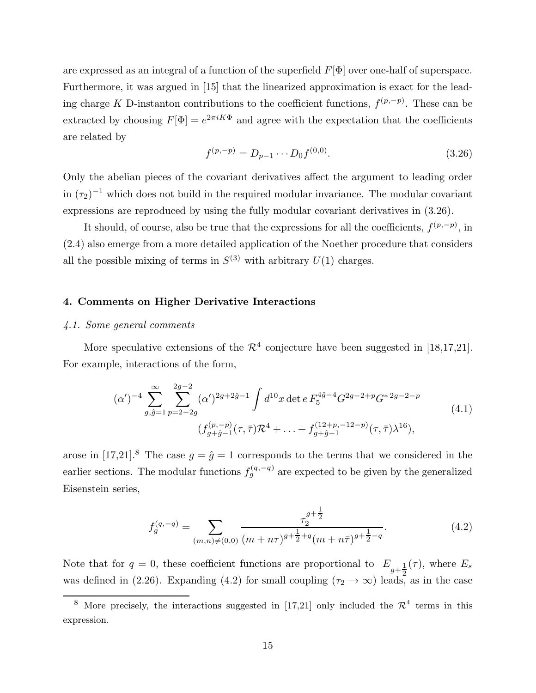are expressed as an integral of a function of the superfield  $F[\Phi]$  over one-half of superspace. Furthermore, it was argued in [15] that the linearized approximation is exact for the leading charge K D-instanton contributions to the coefficient functions,  $f^{(p,-p)}$ . These can be extracted by choosing  $F[\Phi] = e^{2\pi i K \Phi}$  and agree with the expectation that the coefficients are related by

$$
f^{(p,-p)} = D_{p-1} \cdots D_0 f^{(0,0)}.
$$
\n(3.26)

Only the abelian pieces of the covariant derivatives affect the argument to leading order in  $(\tau_2)^{-1}$  which does not build in the required modular invariance. The modular covariant expressions are reproduced by using the fully modular covariant derivatives in (3.26).

It should, of course, also be true that the expressions for all the coefficients,  $f^{(p,-p)}$ , in (2.4) also emerge from a more detailed application of the Noether procedure that considers all the possible mixing of terms in  $S^{(3)}$  with arbitrary  $U(1)$  charges.

#### 4. Comments on Higher Derivative Interactions

#### 4.1. Some general comments

More speculative extensions of the  $\mathcal{R}^4$  conjecture have been suggested in [18,17,21]. For example, interactions of the form,

$$
(\alpha')^{-4} \sum_{g,\hat{g}=1}^{\infty} \sum_{p=2-2g}^{2g-2} (\alpha')^{2g+2\hat{g}-1} \int d^{10}x \det e \, F_5^{4\hat{g}-4} G^{2g-2+p} G^{*2g-2-p}
$$
\n
$$
(f_{g+\hat{g}-1}^{(p,-p)}(\tau,\bar{\tau}) \mathcal{R}^4 + \dots + f_{g+\hat{g}-1}^{(12+p,-12-p)}(\tau,\bar{\tau}) \lambda^{16}),
$$
\n(4.1)

arose in [17,21].<sup>8</sup> The case  $g = \hat{g} = 1$  corresponds to the terms that we considered in the earlier sections. The modular functions  $f_g^{(q,-q)}$  are expected to be given by the generalized Eisenstein series,

$$
f_g^{(q,-q)} = \sum_{(m,n)\neq(0,0)} \frac{\tau_2^{g+\frac{1}{2}}}{(m+n\tau)^{g+\frac{1}{2}+q}(m+n\bar{\tau})^{g+\frac{1}{2}-q}}.
$$
(4.2)

Note that for  $q = 0$ , these coefficient functions are proportional to  $E_{q+\frac{1}{2}}$ 2  $(\tau)$ , where  $E_s$ was defined in (2.26). Expanding (4.2) for small coupling ( $\tau_2 \rightarrow \infty$ ) leads, as in the case

<sup>&</sup>lt;sup>8</sup> More precisely, the interactions suggested in [17,21] only included the  $\mathcal{R}^4$  terms in this expression.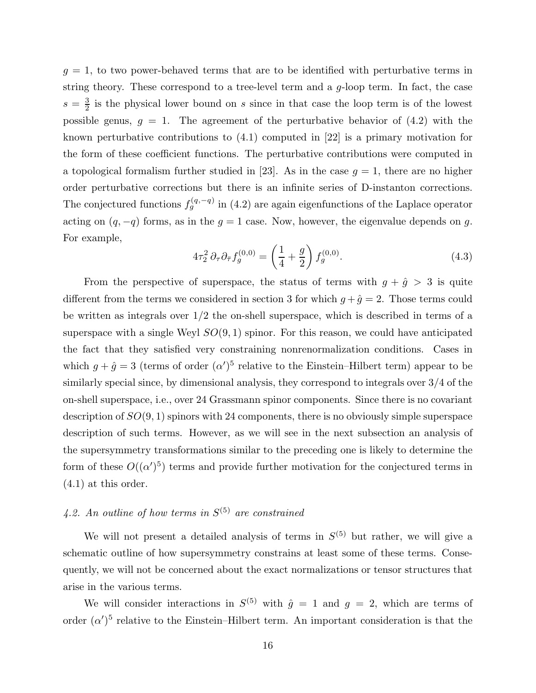$g = 1$ , to two power-behaved terms that are to be identified with perturbative terms in string theory. These correspond to a tree-level term and a g-loop term. In fact, the case  $s=\frac{3}{2}$  $\frac{3}{2}$  is the physical lower bound on s since in that case the loop term is of the lowest possible genus,  $g = 1$ . The agreement of the perturbative behavior of  $(4.2)$  with the known perturbative contributions to (4.1) computed in [22] is a primary motivation for the form of these coefficient functions. The perturbative contributions were computed in a topological formalism further studied in [23]. As in the case  $g = 1$ , there are no higher order perturbative corrections but there is an infinite series of D-instanton corrections. The conjectured functions  $f_g^{(q,-q)}$  in (4.2) are again eigenfunctions of the Laplace operator acting on  $(q, -q)$  forms, as in the  $g = 1$  case. Now, however, the eigenvalue depends on g. For example,

$$
4\tau_2^2 \,\partial_\tau \partial_{\bar{\tau}} f_g^{(0,0)} = \left(\frac{1}{4} + \frac{g}{2}\right) f_g^{(0,0)}.\tag{4.3}
$$

From the perspective of superspace, the status of terms with  $g + \hat{g} > 3$  is quite different from the terms we considered in section 3 for which  $g + \hat{g} = 2$ . Those terms could be written as integrals over  $1/2$  the on-shell superspace, which is described in terms of a superspace with a single Weyl  $SO(9,1)$  spinor. For this reason, we could have anticipated the fact that they satisfied very constraining nonrenormalization conditions. Cases in which  $g + \hat{g} = 3$  (terms of order  $(\alpha')^5$  relative to the Einstein–Hilbert term) appear to be similarly special since, by dimensional analysis, they correspond to integrals over 3/4 of the on-shell superspace, i.e., over 24 Grassmann spinor components. Since there is no covariant description of  $SO(9,1)$  spinors with 24 components, there is no obviously simple superspace description of such terms. However, as we will see in the next subsection an analysis of the supersymmetry transformations similar to the preceding one is likely to determine the form of these  $O((\alpha')^5)$  terms and provide further motivation for the conjectured terms in (4.1) at this order.

# 4.2. An outline of how terms in  $S^{(5)}$  are constrained

We will not present a detailed analysis of terms in  $S^{(5)}$  but rather, we will give a schematic outline of how supersymmetry constrains at least some of these terms. Consequently, we will not be concerned about the exact normalizations or tensor structures that arise in the various terms.

We will consider interactions in  $S^{(5)}$  with  $\hat{g} = 1$  and  $g = 2$ , which are terms of order  $(\alpha')^5$  relative to the Einstein–Hilbert term. An important consideration is that the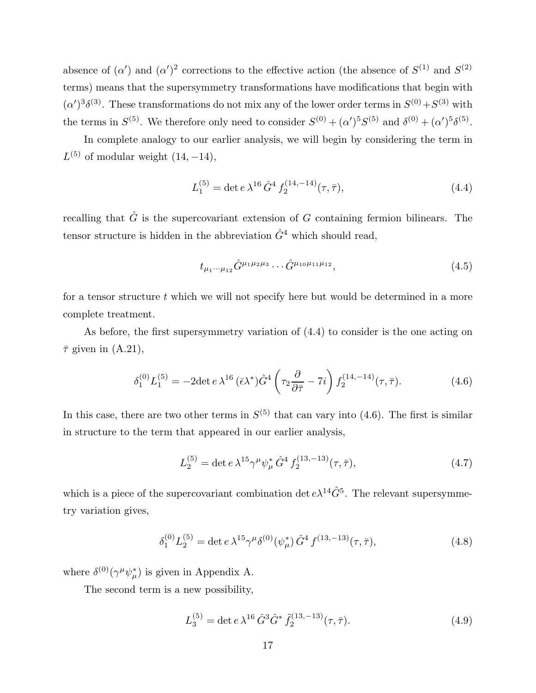absence of  $(\alpha')$  and  $(\alpha')^2$  corrections to the effective action (the absence of  $S^{(1)}$  and  $S^{(2)}$ ) terms) means that the supersymmetry transformations have modifications that begin with  $(\alpha')^3 \delta^{(3)}$ . These transformations do not mix any of the lower order terms in  $S^{(0)} + S^{(3)}$  with the terms in  $S^{(5)}$ . We therefore only need to consider  $S^{(0)} + (\alpha')^5 S^{(5)}$  and  $\delta^{(0)} + (\alpha')^5 \delta^{(5)}$ .

In complete analogy to our earlier analysis, we will begin by considering the term in  $L^{(5)}$  of modular weight  $(14, -14)$ ,

$$
L_1^{(5)} = \det e \,\lambda^{16} \,\hat{G}^4 \, f_2^{(14, -14)}(\tau, \bar{\tau}),\tag{4.4}
$$

recalling that  $\hat{G}$  is the supercovariant extension of G containing fermion bilinears. The tensor structure is hidden in the abbreviation  $\hat{G}^4$  which should read,

$$
t_{\mu_1\cdots\mu_{12}}\hat{G}^{\mu_1\mu_2\mu_3}\cdots\hat{G}^{\mu_{10}\mu_{11}\mu_{12}},\tag{4.5}
$$

for a tensor structure  $t$  which we will not specify here but would be determined in a more complete treatment.

As before, the first supersymmetry variation of (4.4) to consider is the one acting on  $\bar{\tau}$  given in  $(A.21)$ ,

$$
\delta_1^{(0)} L_1^{(5)} = -2 \det e \,\lambda^{16} \, (\bar{\epsilon} \lambda^*) \hat{G}^4 \left( \tau_2 \frac{\partial}{\partial \bar{\tau}} - 7i \right) f_2^{(14, -14)}(\tau, \bar{\tau}). \tag{4.6}
$$

In this case, there are two other terms in  $S^{(5)}$  that can vary into (4.6). The first is similar in structure to the term that appeared in our earlier analysis,

$$
L_2^{(5)} = \det e \,\lambda^{15} \gamma^\mu \psi_\mu^* \,\hat{G}^4 \, f_2^{(13, -13)}(\tau, \bar{\tau}),\tag{4.7}
$$

which is a piece of the supercovariant combination det  $e^{\lambda^{14}}\hat{G}^5$ . The relevant supersymmetry variation gives,

$$
\delta_1^{(0)} L_2^{(5)} = \det e \,\lambda^{15} \gamma^\mu \delta^{(0)}(\psi_\mu^*) \,\hat{G}^4 f^{(13,-13)}(\tau,\bar{\tau}),\tag{4.8}
$$

where  $\delta^{(0)}(\gamma^{\mu}\psi_{\mu}^*)$  is given in Appendix A.

The second term is a new possibility,

$$
L_3^{(5)} = \det e \,\lambda^{16} \,\hat{G}^3 \hat{G}^* \,\tilde{f}_2^{(13,-13)}(\tau,\bar{\tau}).\tag{4.9}
$$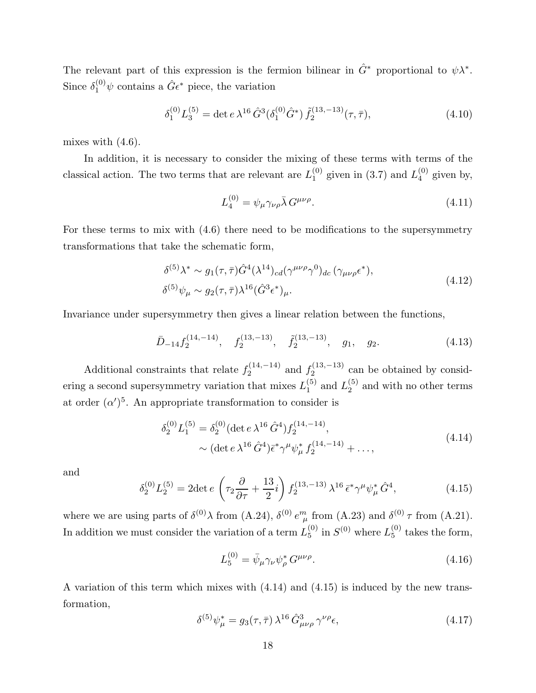The relevant part of this expression is the fermion bilinear in  $\hat{G}^*$  proportional to  $\psi \lambda^*$ . Since  $\delta_1^{(0)} \psi$  contains a  $\hat{G} \epsilon^*$  piece, the variation

$$
\delta_1^{(0)} L_3^{(5)} = \det e \,\lambda^{16} \,\hat{G}^3 (\delta_1^{(0)} \hat{G}^*) \,\tilde{f}_2^{(13,-13)} (\tau, \bar{\tau}), \tag{4.10}
$$

mixes with  $(4.6)$ .

In addition, it is necessary to consider the mixing of these terms with terms of the classical action. The two terms that are relevant are  $L_1^{(0)}$  $_1^{(0)}$  given in (3.7) and  $L_4^{(0)}$  $_4^{\circ\circ}$  given by,

$$
L_4^{(0)} = \psi_\mu \gamma_{\nu\rho} \bar{\lambda} G^{\mu\nu\rho}.
$$
\n(4.11)

For these terms to mix with (4.6) there need to be modifications to the supersymmetry transformations that take the schematic form,

$$
\delta^{(5)}\lambda^* \sim g_1(\tau,\bar{\tau})\hat{G}^4(\lambda^{14})_{cd}(\gamma^{\mu\nu\rho}\gamma^0)_{dc}(\gamma_{\mu\nu\rho}\epsilon^*),
$$
  
\n
$$
\delta^{(5)}\psi_\mu \sim g_2(\tau,\bar{\tau})\lambda^{16}(\hat{G}^3\epsilon^*)_\mu.
$$
\n(4.12)

Invariance under supersymmetry then gives a linear relation between the functions,

$$
\bar{D}_{-14} f_2^{(14,-14)}, \quad f_2^{(13,-13)}, \quad \tilde{f}_2^{(13,-13)}, \quad g_1, \quad g_2. \tag{4.13}
$$

Additional constraints that relate  $f_2^{(14,-14)}$  $f_2^{(14,-14)}$  and  $f_2^{(13,-13)}$  $2^{(15,-15)}$  can be obtained by considering a second supersymmetry variation that mixes  $L_1^{(5)}$  $_1^{(5)}$  and  $L_2^{(5)}$  $2^{(3)}$  and with no other terms at order  $(\alpha')^5$ . An appropriate transformation to consider is

$$
\delta_2^{(0)} L_1^{(5)} = \delta_2^{(0)} (\det e \,\lambda^{16} \,\hat{G}^4) f_2^{(14,-14)},
$$
  
 
$$
\sim (\det e \,\lambda^{16} \,\hat{G}^4) \bar{\epsilon}^* \gamma^\mu \psi_\mu^* f_2^{(14,-14)} + \dots,
$$
 (4.14)

and

$$
\delta_2^{(0)} L_2^{(5)} = 2 \det e \left( \tau_2 \frac{\partial}{\partial \tau} + \frac{13}{2} i \right) f_2^{(13, -13)} \lambda^{16} \, \bar{\epsilon}^* \gamma^\mu \psi_\mu^* \, \hat{G}^4,\tag{4.15}
$$

where we are using parts of  $\delta^{(0)} \lambda$  from (A.24),  $\delta^{(0)} e^m_{\mu}$  from (A.23) and  $\delta^{(0)} \tau$  from (A.21). In addition we must consider the variation of a term  $L_5^{(0)}$  $_{5}^{(0)}$  in  $S^{(0)}$  where  $L_{5}^{(0)}$  $_5^{\circ}$  takes the form,

$$
L_5^{(0)} = \bar{\psi}_{\mu} \gamma_{\nu} \psi_{\rho}^* G^{\mu \nu \rho}.
$$
\n(4.16)

A variation of this term which mixes with (4.14) and (4.15) is induced by the new transformation,

$$
\delta^{(5)}\psi_{\mu}^* = g_3(\tau,\bar{\tau})\,\lambda^{16}\,\hat{G}^3_{\mu\nu\rho}\,\gamma^{\nu\rho}\epsilon,\tag{4.17}
$$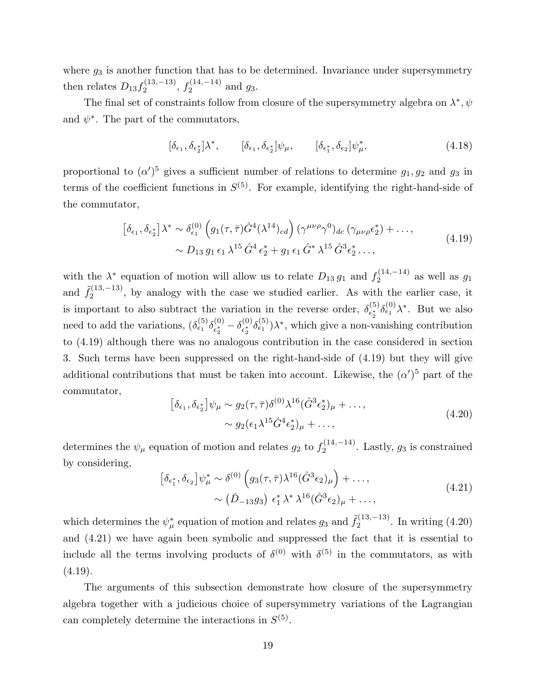where  $g_3$  is another function that has to be determined. Invariance under supersymmetry then relates  $D_{13} f_2^{(13,-13)}$  $f_2^{(13,-13)}, f_2^{(14,-14)}$  and  $g_3$ .

The final set of constraints follow from closure of the supersymmetry algebra on  $\lambda^*, \psi$ and  $\psi^*$ . The part of the commutators,

$$
[\delta_{\epsilon_1}, \delta_{\epsilon_2^*}] \lambda^*, \qquad [\delta_{\epsilon_1}, \delta_{\epsilon_2^*}] \psi_\mu, \qquad [\delta_{\epsilon_1^*}, \delta_{\epsilon_2}] \psi_\mu^*, \tag{4.18}
$$

proportional to  $(\alpha')^5$  gives a sufficient number of relations to determine  $g_1, g_2$  and  $g_3$  in terms of the coefficient functions in  $S^{(5)}$ . For example, identifying the right-hand-side of the commutator,

$$
\left[\delta_{\epsilon_1}, \delta_{\epsilon_2^*}\right] \lambda^* \sim \delta_{\epsilon_1}^{(0)} \left(g_1(\tau, \bar{\tau}) \hat{G}^4(\lambda^{14})_{cd}\right) (\gamma^{\mu\nu\rho} \gamma^0)_{dc} \left(\gamma_{\mu\nu\rho} \epsilon_2^*\right) + \dots, \sim D_{13} g_1 \epsilon_1 \lambda^{15} \hat{G}^4 \epsilon_2^* + g_1 \epsilon_1 \hat{G}^* \lambda^{15} \hat{G}^3 \epsilon_2^* \dots,
$$
\n(4.19)

with the  $\lambda^*$  equation of motion will allow us to relate  $D_{13} g_1$  and  $f_2^{(14,-14)}$  $2^{(14,-14)}$  as well as  $g_1$ and  $\tilde{f}_2^{(13,-13)}$  $2^{(13,-13)}$ , by analogy with the case we studied earlier. As with the earlier case, it is important to also subtract the variation in the reverse order,  $\delta_{\epsilon^*}^{(5)}$  $\epsilon_2^{(5)} \delta_{\epsilon_1}^{(0)} \lambda^*$ . But we also need to add the variations,  $(\delta_{\epsilon_1}^{(5)} \delta_{\epsilon_2^*}^{(0)})$  $\epsilon^{(0)}_{\epsilon^*_2}-\delta^{(0)}_{\epsilon^*_2}$  ${}^{(0)}_{\epsilon_2^*} \delta^{\{5\}}_{\epsilon_1} \lambda^*$ , which give a non-vanishing contribution to (4.19) although there was no analogous contribution in the case considered in section 3. Such terms have been suppressed on the right-hand-side of (4.19) but they will give additional contributions that must be taken into account. Likewise, the  $(\alpha')^5$  part of the commutator,

$$
\left[\delta_{\epsilon_1}, \delta_{\epsilon_2^*}\right] \psi_\mu \sim g_2(\tau, \bar{\tau}) \delta^{(0)} \lambda^{16} (\hat{G}^3 \epsilon_2^*)_\mu + \dots, \sim g_2(\epsilon_1 \lambda^{15} \hat{G}^4 \epsilon_2^*)_\mu + \dots,
$$
\n(4.20)

determines the  $\psi_{\mu}$  equation of motion and relates  $g_2$  to  $f_2^{(14,-14)}$  $2^{(14,-14)}$ . Lastly,  $g_3$  is constrained by considering,

$$
\left[\delta_{\epsilon_1^*}, \delta_{\epsilon_2}\right] \psi_\mu^* \sim \delta^{(0)} \left(g_3(\tau, \bar{\tau}) \lambda^{16} (\hat{G}^3 \epsilon_2)_\mu\right) + \dots, \sim \left(\bar{D}_{-13} g_3\right) \epsilon_1^* \lambda^* \lambda^{16} (\hat{G}^3 \epsilon_2)_\mu + \dots,
$$
\n(4.21)

which determines the  $\psi^*_{\mu}$  equation of motion and relates  $g_3$  and  $\tilde{f}_2^{(13,-13)}$  $2^{(13,-13)}$ . In writing  $(4.20)$ and (4.21) we have again been symbolic and suppressed the fact that it is essential to include all the terms involving products of  $\delta^{(0)}$  with  $\delta^{(5)}$  in the commutators, as with  $(4.19).$ 

The arguments of this subsection demonstrate how closure of the supersymmetry algebra together with a judicious choice of supersymmetry variations of the Lagrangian can completely determine the interactions in  $S^{(5)}$ .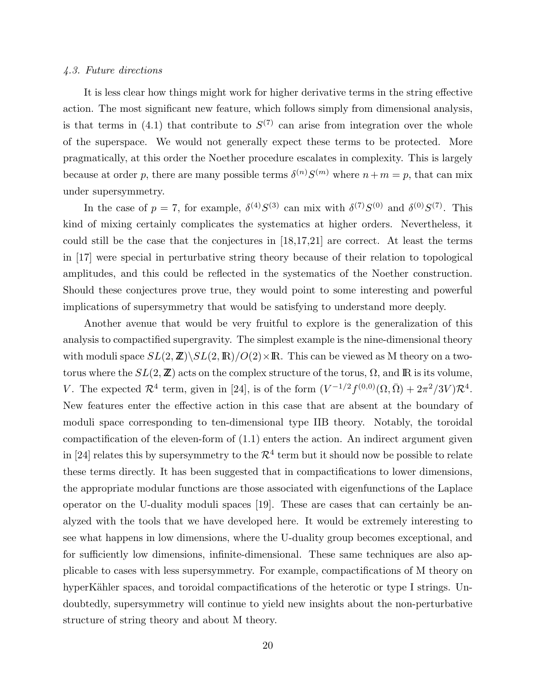# 4.3. Future directions

It is less clear how things might work for higher derivative terms in the string effective action. The most significant new feature, which follows simply from dimensional analysis, is that terms in (4.1) that contribute to  $S^{(7)}$  can arise from integration over the whole of the superspace. We would not generally expect these terms to be protected. More pragmatically, at this order the Noether procedure escalates in complexity. This is largely because at order p, there are many possible terms  $\delta^{(n)}S^{(m)}$  where  $n+m=p$ , that can mix under supersymmetry.

In the case of  $p = 7$ , for example,  $\delta^{(4)}S^{(3)}$  can mix with  $\delta^{(7)}S^{(0)}$  and  $\delta^{(0)}S^{(7)}$ . This kind of mixing certainly complicates the systematics at higher orders. Nevertheless, it could still be the case that the conjectures in [18,17,21] are correct. At least the terms in [17] were special in perturbative string theory because of their relation to topological amplitudes, and this could be reflected in the systematics of the Noether construction. Should these conjectures prove true, they would point to some interesting and powerful implications of supersymmetry that would be satisfying to understand more deeply.

Another avenue that would be very fruitful to explore is the generalization of this analysis to compactified supergravity. The simplest example is the nine-dimensional theory with moduli space  $SL(2,\mathbb{Z})\backslash SL(2,\mathbb{R})/O(2)\times\mathbb{R}$ . This can be viewed as M theory on a twotorus where the  $SL(2, \mathbb{Z})$  acts on the complex structure of the torus,  $\Omega$ , and  $\mathbb{R}$  is its volume, V. The expected  $\mathcal{R}^4$  term, given in [24], is of the form  $(V^{-1/2}f^{(0,0)}(\Omega,\bar{\Omega})+2\pi^2/3V)\mathcal{R}^4$ . New features enter the effective action in this case that are absent at the boundary of moduli space corresponding to ten-dimensional type IIB theory. Notably, the toroidal compactification of the eleven-form of (1.1) enters the action. An indirect argument given in [24] relates this by supersymmetry to the  $\mathcal{R}^4$  term but it should now be possible to relate these terms directly. It has been suggested that in compactifications to lower dimensions, the appropriate modular functions are those associated with eigenfunctions of the Laplace operator on the U-duality moduli spaces [19]. These are cases that can certainly be analyzed with the tools that we have developed here. It would be extremely interesting to see what happens in low dimensions, where the U-duality group becomes exceptional, and for sufficiently low dimensions, infinite-dimensional. These same techniques are also applicable to cases with less supersymmetry. For example, compactifications of M theory on hyperKähler spaces, and toroidal compactifications of the heterotic or type I strings. Undoubtedly, supersymmetry will continue to yield new insights about the non-perturbative structure of string theory and about M theory.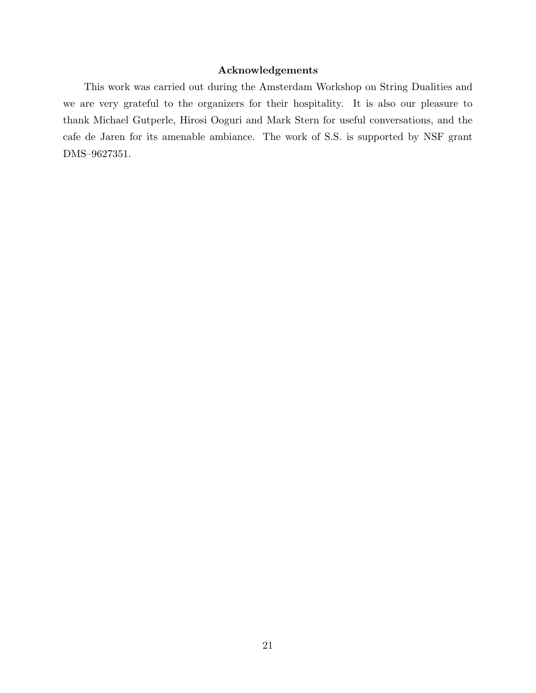# Acknowledgements

This work was carried out during the Amsterdam Workshop on String Dualities and we are very grateful to the organizers for their hospitality. It is also our pleasure to thank Michael Gutperle, Hirosi Ooguri and Mark Stern for useful conversations, and the cafe de Jaren for its amenable ambiance. The work of S.S. is supported by NSF grant DMS–9627351.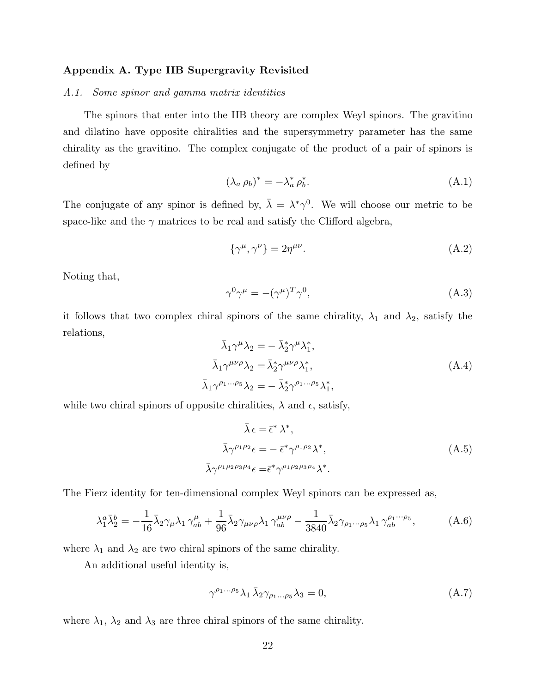# Appendix A. Type IIB Supergravity Revisited

# A.1. Some spinor and gamma matrix identities

The spinors that enter into the IIB theory are complex Weyl spinors. The gravitino and dilatino have opposite chiralities and the supersymmetry parameter has the same chirality as the gravitino. The complex conjugate of the product of a pair of spinors is defined by

$$
(\lambda_a \,\rho_b)^* = -\lambda_a^* \,\rho_b^*.\tag{A.1}
$$

The conjugate of any spinor is defined by,  $\bar{\lambda} = \lambda^* \gamma^0$ . We will choose our metric to be space-like and the  $\gamma$  matrices to be real and satisfy the Clifford algebra,

$$
\{\gamma^{\mu}, \gamma^{\nu}\} = 2\eta^{\mu\nu}.\tag{A.2}
$$

Noting that,

$$
\gamma^0 \gamma^\mu = -(\gamma^\mu)^T \gamma^0,\tag{A.3}
$$

it follows that two complex chiral spinors of the same chirality,  $\lambda_1$  and  $\lambda_2$ , satisfy the relations,

$$
\bar{\lambda}_1 \gamma^{\mu} \lambda_2 = - \bar{\lambda}_2^* \gamma^{\mu} \lambda_1^*,
$$
\n
$$
\bar{\lambda}_1 \gamma^{\mu \nu \rho} \lambda_2 = \bar{\lambda}_2^* \gamma^{\mu \nu \rho} \lambda_1^*,
$$
\n
$$
\bar{\lambda}_1 \gamma^{\rho_1 \dots \rho_5} \lambda_2 = - \bar{\lambda}_2^* \gamma^{\rho_1 \dots \rho_5} \lambda_1^*,
$$
\n(A.4)

while two chiral spinors of opposite chiralities,  $\lambda$  and  $\epsilon$ , satisfy,

$$
\bar{\lambda} \epsilon = \bar{\epsilon}^* \lambda^*,
$$
\n
$$
\bar{\lambda} \gamma^{\rho_1 \rho_2} \epsilon = -\bar{\epsilon}^* \gamma^{\rho_1 \rho_2} \lambda^*,
$$
\n
$$
\bar{\lambda} \gamma^{\rho_1 \rho_2 \rho_3 \rho_4} \epsilon = \bar{\epsilon}^* \gamma^{\rho_1 \rho_2 \rho_3 \rho_4} \lambda^*.
$$
\n(A.5)

The Fierz identity for ten-dimensional complex Weyl spinors can be expressed as,

$$
\lambda_1^a \bar{\lambda}_2^b = -\frac{1}{16} \bar{\lambda}_2 \gamma_\mu \lambda_1 \gamma_{ab}^\mu + \frac{1}{96} \bar{\lambda}_2 \gamma_{\mu\nu\rho} \lambda_1 \gamma_{ab}^{\mu\nu\rho} - \frac{1}{3840} \bar{\lambda}_2 \gamma_{\rho_1 \cdots \rho_5} \lambda_1 \gamma_{ab}^{\rho_1 \cdots \rho_5}, \tag{A.6}
$$

where  $\lambda_1$  and  $\lambda_2$  are two chiral spinors of the same chirality.

An additional useful identity is,

$$
\gamma^{\rho_1...\rho_5} \lambda_1 \bar{\lambda}_2 \gamma_{\rho_1...\rho_5} \lambda_3 = 0, \tag{A.7}
$$

where  $\lambda_1$ ,  $\lambda_2$  and  $\lambda_3$  are three chiral spinors of the same chirality.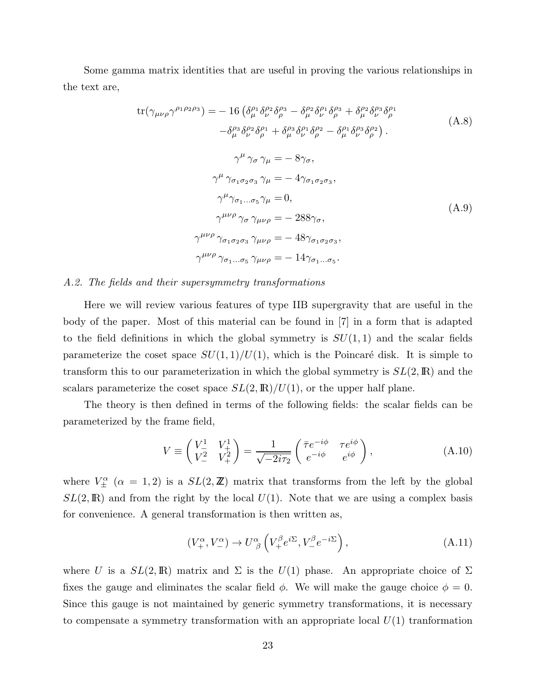Some gamma matrix identities that are useful in proving the various relationships in the text are,

$$
tr(\gamma_{\mu\nu\rho}\gamma^{\rho_{1}\rho_{2}\rho_{3}}) = -16 \left( \delta_{\mu}^{\rho_{1}} \delta_{\nu}^{\rho_{2}} \delta_{\rho}^{\rho_{3}} - \delta_{\mu}^{\rho_{2}} \delta_{\nu}^{\rho_{1}} \delta_{\rho}^{\rho_{3}} + \delta_{\mu}^{\rho_{2}} \delta_{\nu}^{\rho_{3}} \delta_{\rho}^{\rho_{1}} \n- \delta_{\mu}^{\rho_{3}} \delta_{\nu}^{\rho_{2}} \delta_{\rho}^{\rho_{1}} + \delta_{\mu}^{\rho_{3}} \delta_{\nu}^{\rho_{1}} \delta_{\rho}^{\rho_{2}} - \delta_{\mu}^{\rho_{1}} \delta_{\nu}^{\rho_{3}} \delta_{\rho}^{\rho_{2}} \right).
$$
\n(A.8)  
\n
$$
\gamma^{\mu} \gamma_{\sigma} \gamma_{\mu} = -8 \gamma_{\sigma},
$$
\n
$$
\gamma^{\mu} \gamma_{\sigma_{1}\sigma_{2}\sigma_{3}} \gamma_{\mu} = -4 \gamma_{\sigma_{1}\sigma_{2}\sigma_{3}},
$$
\n
$$
\gamma^{\mu} \gamma_{\sigma_{1}...\sigma_{5}} \gamma_{\mu} = 0,
$$
\n(A.9)  
\n
$$
\gamma^{\mu\nu\rho} \gamma_{\sigma} \gamma_{\mu\nu\rho} = -288 \gamma_{\sigma},
$$
\n
$$
\gamma^{\mu\nu\rho} \gamma_{\sigma_{1}\sigma_{2}\sigma_{3}} \gamma_{\mu\nu\rho} = -48 \gamma_{\sigma_{1}\sigma_{2}\sigma_{3}},
$$
\n
$$
\gamma^{\mu\nu\rho} \gamma_{\sigma_{1}...\sigma_{5}} \gamma_{\mu\nu\rho} = -14 \gamma_{\sigma_{1}...\sigma_{5}}.
$$

## A.2. The fields and their supersymmetry transformations

Here we will review various features of type IIB supergravity that are useful in the body of the paper. Most of this material can be found in [7] in a form that is adapted to the field definitions in which the global symmetry is  $SU(1,1)$  and the scalar fields parameterize the coset space  $SU(1,1)/U(1)$ , which is the Poincaré disk. It is simple to transform this to our parameterization in which the global symmetry is  $SL(2,\mathbb{R})$  and the scalars parameterize the coset space  $SL(2,\mathbb{R})/U(1)$ , or the upper half plane.

The theory is then defined in terms of the following fields: the scalar fields can be parameterized by the frame field,

$$
V \equiv \begin{pmatrix} V_{-}^1 & V_{+}^1 \\ V_{-}^2 & V_{+}^2 \end{pmatrix} = \frac{1}{\sqrt{-2i\tau_2}} \begin{pmatrix} \bar{\tau}e^{-i\phi} & \tau e^{i\phi} \\ e^{-i\phi} & e^{i\phi} \end{pmatrix},
$$
(A.10)

where  $V^{\alpha}_{\pm}$  ( $\alpha = 1, 2$ ) is a  $SL(2, \mathbb{Z})$  matrix that transforms from the left by the global  $SL(2,\mathbb{R})$  and from the right by the local  $U(1)$ . Note that we are using a complex basis for convenience. A general transformation is then written as,

$$
(V_+^{\alpha}, V_-^{\alpha}) \to U^{\alpha}_{\ \beta} \left( V_+^{\beta} e^{i\Sigma}, V_-^{\beta} e^{-i\Sigma} \right), \tag{A.11}
$$

where U is a  $SL(2,\mathbb{R})$  matrix and  $\Sigma$  is the  $U(1)$  phase. An appropriate choice of  $\Sigma$ fixes the gauge and eliminates the scalar field  $\phi$ . We will make the gauge choice  $\phi = 0$ . Since this gauge is not maintained by generic symmetry transformations, it is necessary to compensate a symmetry transformation with an appropriate local  $U(1)$  tranformation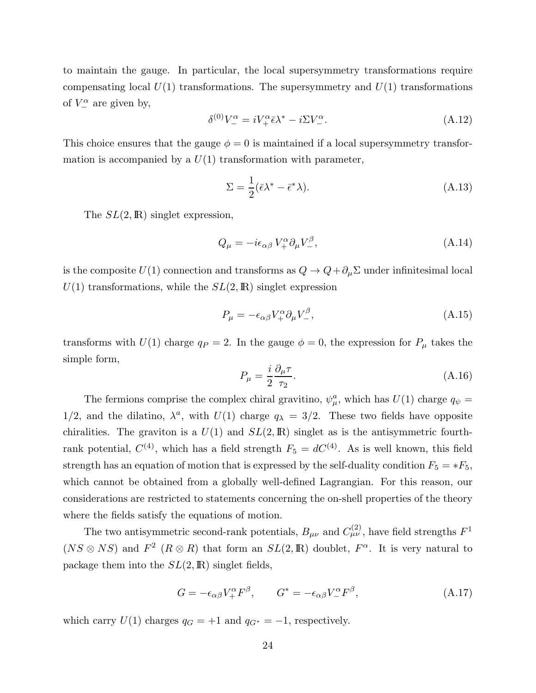to maintain the gauge. In particular, the local supersymmetry transformations require compensating local  $U(1)$  transformations. The supersymmetry and  $U(1)$  transformations of  $V^{\alpha}_{-}$  are given by,

$$
\delta^{(0)}V^{\alpha}_{-} = iV^{\alpha}_{+}\bar{\epsilon}\lambda^{*} - i\Sigma V^{\alpha}_{-}.
$$
\n(A.12)

This choice ensures that the gauge  $\phi = 0$  is maintained if a local supersymmetry transformation is accompanied by a  $U(1)$  transformation with parameter,

$$
\Sigma = \frac{1}{2} (\bar{\epsilon}\lambda^* - \bar{\epsilon}^* \lambda). \tag{A.13}
$$

The  $SL(2,\mathbb{R})$  singlet expression,

$$
Q_{\mu} = -i\epsilon_{\alpha\beta} V_{+}^{\alpha} \partial_{\mu} V_{-}^{\beta}, \tag{A.14}
$$

is the composite  $U(1)$  connection and transforms as  $Q \to Q + \partial_\mu \Sigma$  under infinitesimal local  $U(1)$  transformations, while the  $SL(2,\mathbb{R})$  singlet expression

$$
P_{\mu} = -\epsilon_{\alpha\beta} V_{+}^{\alpha} \partial_{\mu} V_{-}^{\beta},\tag{A.15}
$$

transforms with  $U(1)$  charge  $q_P = 2$ . In the gauge  $\phi = 0$ , the expression for  $P_\mu$  takes the simple form,

$$
P_{\mu} = \frac{i}{2} \frac{\partial_{\mu} \tau}{\tau_2}.
$$
\n(A.16)

The fermions comprise the complex chiral gravitino,  $\psi^a_\mu$ , which has  $U(1)$  charge  $q_\psi =$ 1/2, and the dilatino,  $\lambda^a$ , with  $U(1)$  charge  $q_{\lambda} = 3/2$ . These two fields have opposite chiralities. The graviton is a  $U(1)$  and  $SL(2,\mathbb{R})$  singlet as is the antisymmetric fourthrank potential,  $C^{(4)}$ , which has a field strength  $F_5 = dC^{(4)}$ . As is well known, this field strength has an equation of motion that is expressed by the self-duality condition  $F_5 = *F_5$ , which cannot be obtained from a globally well-defined Lagrangian. For this reason, our considerations are restricted to statements concerning the on-shell properties of the theory where the fields satisfy the equations of motion.

The two antisymmetric second-rank potentials,  $B_{\mu\nu}$  and  $C_{\mu\nu}^{(2)}$ , have field strengths  $F^1$  $(NS \otimes NS)$  and  $F^2$   $(R \otimes R)$  that form an  $SL(2,\mathbb{R})$  doublet,  $F^{\alpha}$ . It is very natural to package them into the  $SL(2,\mathbb{R})$  singlet fields,

$$
G = -\epsilon_{\alpha\beta} V^{\alpha}_{+} F^{\beta}, \qquad G^* = -\epsilon_{\alpha\beta} V^{\alpha}_{-} F^{\beta}, \qquad (A.17)
$$

which carry  $U(1)$  charges  $q_G = +1$  and  $q_{G^*} = -1$ , respectively.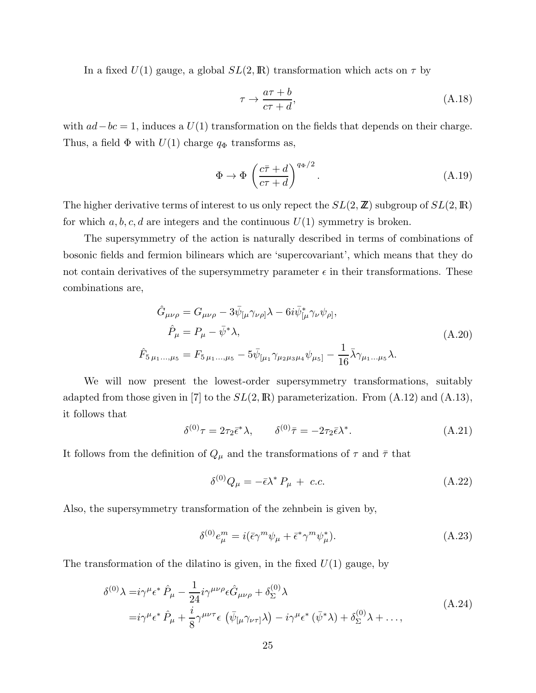In a fixed  $U(1)$  gauge, a global  $SL(2,\mathbb{R})$  transformation which acts on  $\tau$  by

$$
\tau \to \frac{a\tau + b}{c\tau + d},\tag{A.18}
$$

with  $ad-bc=1$ , induces a  $U(1)$  transformation on the fields that depends on their charge. Thus, a field  $\Phi$  with  $U(1)$  charge  $q_{\Phi}$  transforms as,

$$
\Phi \to \Phi \left(\frac{c\bar{\tau} + d}{c\tau + d}\right)^{q_{\Phi}/2}.\tag{A.19}
$$

The higher derivative terms of interest to us only repect the  $SL(2, \mathbb{Z})$  subgroup of  $SL(2, \mathbb{R})$ for which  $a, b, c, d$  are integers and the continuous  $U(1)$  symmetry is broken.

The supersymmetry of the action is naturally described in terms of combinations of bosonic fields and fermion bilinears which are 'supercovariant', which means that they do not contain derivatives of the supersymmetry parameter  $\epsilon$  in their transformations. These combinations are,

$$
\hat{G}_{\mu\nu\rho} = G_{\mu\nu\rho} - 3\bar{\psi}_{\lbrack\mu}\gamma_{\nu\rho\rbrack}\lambda - 6i\bar{\psi}_{\lbrack\mu}^{*}\gamma_{\nu}\psi_{\rho\rbrack},
$$
\n
$$
\hat{P}_{\mu} = P_{\mu} - \bar{\psi}^{*}\lambda,
$$
\n(A.20)\n
$$
\hat{F}_{5\mu_{1}...\mu_{5}} = F_{5\mu_{1}...\mu_{5}} - 5\bar{\psi}_{\lbrack\mu_{1}}\gamma_{\mu_{2}\mu_{3}\mu_{4}}\psi_{\mu_{5}\rbrack} - \frac{1}{16}\bar{\lambda}\gamma_{\mu_{1}...\mu_{5}}\lambda.
$$

We will now present the lowest-order supersymmetry transformations, suitably adapted from those given in [7] to the  $SL(2,\mathbb{R})$  parameterization. From  $(A.12)$  and  $(A.13)$ , it follows that

$$
\delta^{(0)}\tau = 2\tau_2 \bar{\epsilon}^* \lambda, \qquad \delta^{(0)}\bar{\tau} = -2\tau_2 \bar{\epsilon} \lambda^*.
$$
 (A.21)

It follows from the definition of  $Q_\mu$  and the transformations of  $\tau$  and  $\bar{\tau}$  that

$$
\delta^{(0)}Q_{\mu} = -\bar{\epsilon}\lambda^* P_{\mu} + c.c.
$$
\n(A.22)

Also, the supersymmetry transformation of the zehnbein is given by,

$$
\delta^{(0)}e^m_{\mu} = i(\bar{\epsilon}\gamma^m\psi_{\mu} + \bar{\epsilon}^*\gamma^m\psi_{\mu}^*). \tag{A.23}
$$

The transformation of the dilatino is given, in the fixed  $U(1)$  gauge, by

$$
\delta^{(0)}\lambda = i\gamma^{\mu}\epsilon^{*}\hat{P}_{\mu} - \frac{1}{24}i\gamma^{\mu\nu\rho}\epsilon \hat{G}_{\mu\nu\rho} + \delta_{\Sigma}^{(0)}\lambda
$$
\n
$$
= i\gamma^{\mu}\epsilon^{*}\hat{P}_{\mu} + \frac{i}{8}\gamma^{\mu\nu\tau}\epsilon\left(\bar{\psi}_{\left[\mu\gamma_{\nu\tau}\right]}\lambda\right) - i\gamma^{\mu}\epsilon^{*}\left(\bar{\psi}^{*}\lambda\right) + \delta_{\Sigma}^{(0)}\lambda + ..., \qquad (A.24)
$$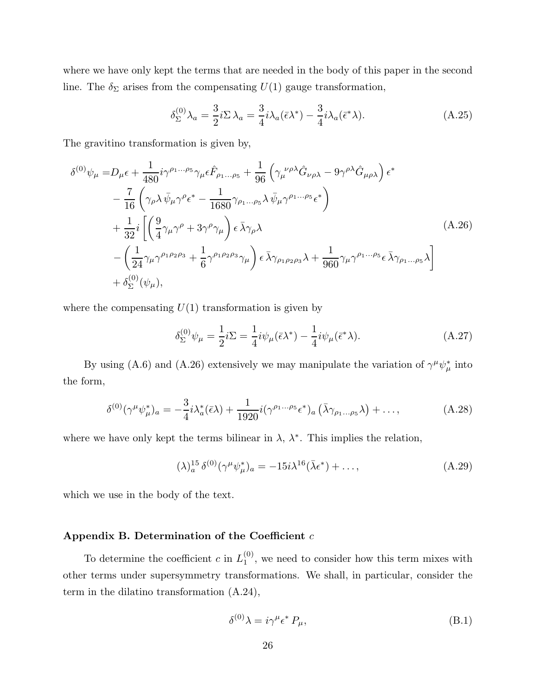where we have only kept the terms that are needed in the body of this paper in the second line. The  $\delta_{\Sigma}$  arises from the compensating  $U(1)$  gauge transformation,

$$
\delta_{\Sigma}^{(0)}\lambda_a = \frac{3}{2}i\Sigma\lambda_a = \frac{3}{4}i\lambda_a(\bar{\epsilon}\lambda^*) - \frac{3}{4}i\lambda_a(\bar{\epsilon}^*\lambda). \tag{A.25}
$$

The gravitino transformation is given by,

$$
\delta^{(0)}\psi_{\mu} = D_{\mu}\epsilon + \frac{1}{480}i\gamma^{\rho_{1}...\rho_{5}}\gamma_{\mu}\epsilon \hat{F}_{\rho_{1}...\rho_{5}} + \frac{1}{96}\left(\gamma_{\mu}^{\nu\rho\lambda}\hat{G}_{\nu\rho\lambda} - 9\gamma^{\rho\lambda}\hat{G}_{\mu\rho\lambda}\right)\epsilon^{*} \n- \frac{7}{16}\left(\gamma_{\rho}\lambda\bar{\psi}_{\mu}\gamma^{\rho}\epsilon^{*} - \frac{1}{1680}\gamma_{\rho_{1}...\rho_{5}}\lambda\bar{\psi}_{\mu}\gamma^{\rho_{1}...\rho_{5}}\epsilon^{*}\right) \n+ \frac{1}{32}i\left[\left(\frac{9}{4}\gamma_{\mu}\gamma^{\rho} + 3\gamma^{\rho}\gamma_{\mu}\right)\epsilon\bar{\lambda}\gamma_{\rho}\lambda \right] \n- \left(\frac{1}{24}\gamma_{\mu}\gamma^{\rho_{1}\rho_{2}\rho_{3}} + \frac{1}{6}\gamma^{\rho_{1}\rho_{2}\rho_{3}}\gamma_{\mu}\right)\epsilon\bar{\lambda}\gamma_{\rho_{1}\rho_{2}\rho_{3}}\lambda + \frac{1}{960}\gamma_{\mu}\gamma^{\rho_{1}...\rho_{5}}\epsilon\bar{\lambda}\gamma_{\rho_{1}...\rho_{5}}\lambda \right] \n+ \delta_{\Sigma}^{(0)}(\psi_{\mu}),
$$
\n(A.26)

where the compensating  $U(1)$  transformation is given by

$$
\delta_{\Sigma}^{(0)}\psi_{\mu} = \frac{1}{2}i\Sigma = \frac{1}{4}i\psi_{\mu}(\bar{\epsilon}\lambda^{*}) - \frac{1}{4}i\psi_{\mu}(\bar{\epsilon}^{*}\lambda).
$$
 (A.27)

By using (A.6) and (A.26) extensively we may manipulate the variation of  $\gamma^{\mu}\psi_{\mu}^{*}$  into the form,

$$
\delta^{(0)}(\gamma^{\mu}\psi_{\mu}^*)_{a} = -\frac{3}{4}i\lambda_a^*(\bar{\epsilon}\lambda) + \frac{1}{1920}i(\gamma^{\rho_1\ldots\rho_5}\epsilon^*)_{a}\left(\bar{\lambda}\gamma_{\rho_1\ldots\rho_5}\lambda\right) + \ldots,
$$
\n(A.28)

where we have only kept the terms bilinear in  $\lambda$ ,  $\lambda^*$ . This implies the relation,

$$
(\lambda)^{15}_{a} \delta^{(0)}(\gamma^{\mu} \psi_{\mu}^{*})_{a} = -15i\lambda^{16}(\bar{\lambda}\epsilon^{*}) + ..., \qquad (A.29)
$$

which we use in the body of the text.

# Appendix B. Determination of the Coefficient  $c$

To determine the coefficient c in  $L_1^{(0)}$  $1^{(0)}$ , we need to consider how this term mixes with other terms under supersymmetry transformations. We shall, in particular, consider the term in the dilatino transformation (A.24),

$$
\delta^{(0)}\lambda = i\gamma^{\mu}\epsilon^* P_{\mu},\tag{B.1}
$$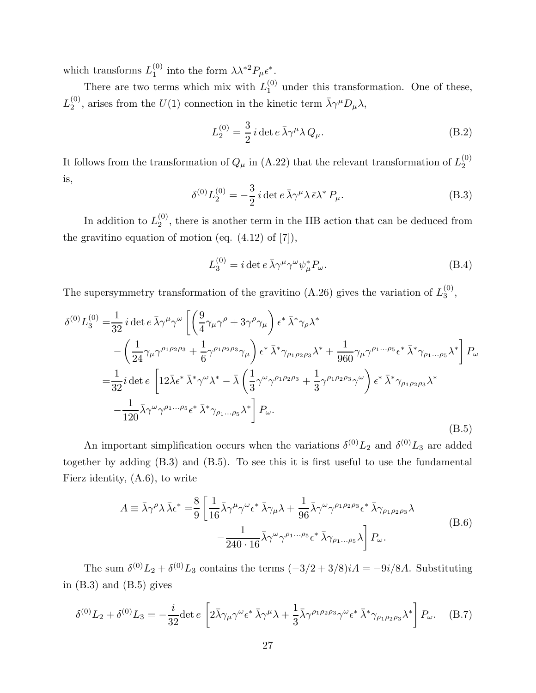which transforms  $L_1^{(0)}$  $_1^{(0)}$  into the form  $\lambda \lambda^{*2} P_\mu \epsilon^*$ .

There are two terms which mix with  $L_1^{(0)}$  under this transformation. One of these,  $L_2^{(0)}$  $2^{(0)}$ , arises from the  $U(1)$  connection in the kinetic term  $\bar{\lambda}\gamma^{\mu}D_{\mu}\lambda$ ,

$$
L_2^{(0)} = \frac{3}{2} i \det e \,\overline{\lambda} \gamma^\mu \lambda Q_\mu.
$$
 (B.2)

It follows from the transformation of  $Q_{\mu}$  in (A.22) that the relevant transformation of  $L_2^{(0)}$ 2 is,

$$
\delta^{(0)} L_2^{(0)} = -\frac{3}{2} i \det e \,\overline{\lambda} \gamma^\mu \lambda \,\overline{\epsilon} \lambda^* P_\mu. \tag{B.3}
$$

In addition to  $L_2^{(0)}$  $2^{(0)}$ , there is another term in the IIB action that can be deduced from the gravitino equation of motion (eq.  $(4.12)$  of  $[7]$ ),

$$
L_3^{(0)} = i \det e \,\overline{\lambda} \gamma^\mu \gamma^\omega \psi_\mu^* P_\omega. \tag{B.4}
$$

The supersymmetry transformation of the gravitino (A.26) gives the variation of  $L_3^{(0)}$  $\frac{1}{3}$ ,

$$
\delta^{(0)} L_3^{(0)} = \frac{1}{32} i \det e \bar{\lambda} \gamma^{\mu} \gamma^{\omega} \left[ \left( \frac{9}{4} \gamma_{\mu} \gamma^{\rho} + 3 \gamma^{\rho} \gamma_{\mu} \right) \epsilon^* \bar{\lambda}^* \gamma_{\rho} \lambda^* \right. \\
\left. - \left( \frac{1}{24} \gamma_{\mu} \gamma^{\rho_1 \rho_2 \rho_3} + \frac{1}{6} \gamma^{\rho_1 \rho_2 \rho_3} \gamma_{\mu} \right) \epsilon^* \bar{\lambda}^* \gamma_{\rho_1 \rho_2 \rho_3} \lambda^* + \frac{1}{960} \gamma_{\mu} \gamma^{\rho_1 \dots \rho_5} \epsilon^* \bar{\lambda}^* \gamma_{\rho_1 \dots \rho_5} \lambda^* \right] P_{\omega} \\
= \frac{1}{32} i \det e \left[ 12 \bar{\lambda} \epsilon^* \bar{\lambda}^* \gamma^{\omega} \lambda^* - \bar{\lambda} \left( \frac{1}{3} \gamma^{\omega} \gamma^{\rho_1 \rho_2 \rho_3} + \frac{1}{3} \gamma^{\rho_1 \rho_2 \rho_3} \gamma^{\omega} \right) \epsilon^* \bar{\lambda}^* \gamma_{\rho_1 \rho_2 \rho_3} \lambda^* \right. \\
\left. - \frac{1}{120} \bar{\lambda} \gamma^{\omega} \gamma^{\rho_1 \dots \rho_5} \epsilon^* \bar{\lambda}^* \gamma_{\rho_1 \dots \rho_5} \lambda^* \right] P_{\omega}.
$$
\n(B.5)

An important simplification occurs when the variations  $\delta^{(0)}L_2$  and  $\delta^{(0)}L_3$  are added together by adding (B.3) and (B.5). To see this it is first useful to use the fundamental Fierz identity, (A.6), to write

$$
A \equiv \bar{\lambda}\gamma^{\rho}\lambda\,\bar{\lambda}\epsilon^{*} = \frac{8}{9} \left[ \frac{1}{16} \bar{\lambda}\gamma^{\mu}\gamma^{\omega}\epsilon^{*}\,\bar{\lambda}\gamma_{\mu}\lambda + \frac{1}{96} \bar{\lambda}\gamma^{\omega}\gamma^{\rho_{1}\rho_{2}\rho_{3}}\epsilon^{*}\,\bar{\lambda}\gamma_{\rho_{1}\rho_{2}\rho_{3}}\lambda - \frac{1}{240 \cdot 16} \bar{\lambda}\gamma^{\omega}\gamma^{\rho_{1}\dots\rho_{5}}\epsilon^{*}\,\bar{\lambda}\gamma_{\rho_{1}\dots\rho_{5}}\lambda \right] P_{\omega}.
$$
\n(B.6)

The sum  $\delta^{(0)}L_2 + \delta^{(0)}L_3$  contains the terms  $(-3/2 + 3/8)iA = -9i/8A$ . Substituting in  $(B.3)$  and  $(B.5)$  gives

$$
\delta^{(0)}L_2 + \delta^{(0)}L_3 = -\frac{i}{32} \det e \left[ 2\bar{\lambda}\gamma_\mu \gamma^\omega \epsilon^* \bar{\lambda}\gamma^\mu \lambda + \frac{1}{3} \bar{\lambda}\gamma^{\rho_1 \rho_2 \rho_3} \gamma^\omega \epsilon^* \bar{\lambda}^* \gamma_{\rho_1 \rho_2 \rho_3} \lambda^* \right] P_\omega. \quad (B.7)
$$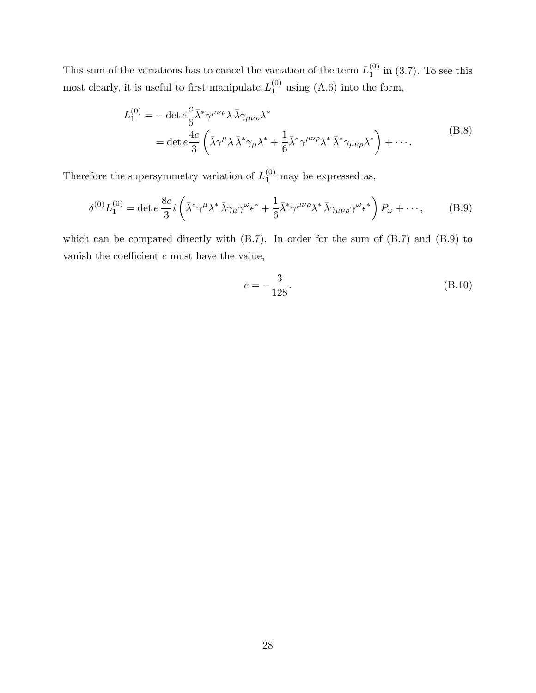This sum of the variations has to cancel the variation of the term  $L_1^{(0)}$  $_1^{\text{(0)}}$  in (3.7). To see this most clearly, it is useful to first manipulate  $L_1^{(0)}$  using  $(A.6)$  into the form,

$$
L_1^{(0)} = -\det e^{\frac{c}{6}} \bar{\lambda}^* \gamma^{\mu\nu\rho} \lambda \bar{\lambda} \gamma_{\mu\nu\rho} \lambda^*
$$
  
=  $\det e^{\frac{4c}{3}} \left( \bar{\lambda} \gamma^{\mu} \lambda \bar{\lambda}^* \gamma_{\mu} \lambda^* + \frac{1}{6} \bar{\lambda}^* \gamma^{\mu\nu\rho} \lambda^* \bar{\lambda}^* \gamma_{\mu\nu\rho} \lambda^* \right) + \cdots$  (B.8)

Therefore the supersymmetry variation of  $L_1^{(0)}$  may be expressed as,

$$
\delta^{(0)} L_1^{(0)} = \det e \, \frac{8c}{3} i \left( \bar{\lambda}^* \gamma^\mu \lambda^* \bar{\lambda} \gamma_\mu \gamma^\omega \epsilon^* + \frac{1}{6} \bar{\lambda}^* \gamma^{\mu \nu \rho} \lambda^* \bar{\lambda} \gamma_{\mu \nu \rho} \gamma^\omega \epsilon^* \right) P_\omega + \cdots, \tag{B.9}
$$

which can be compared directly with (B.7). In order for the sum of (B.7) and (B.9) to vanish the coefficient  $c$  must have the value,

$$
c = -\frac{3}{128}.\t\t(B.10)
$$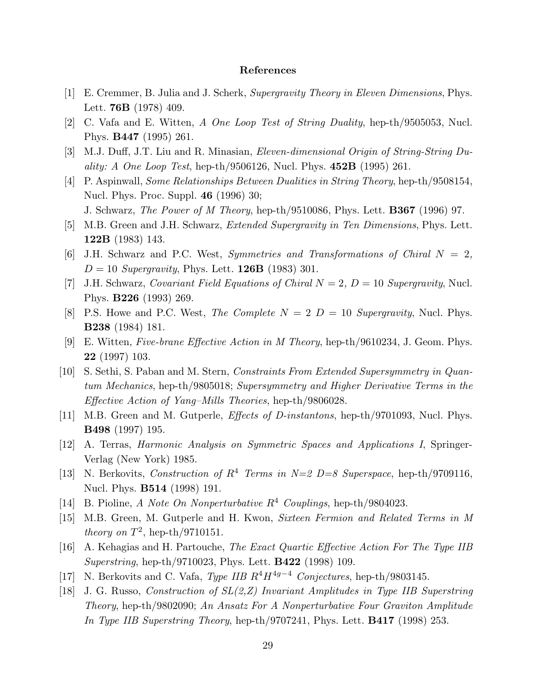# References

- [1] E. Cremmer, B. Julia and J. Scherk, Supergravity Theory in Eleven Dimensions, Phys. Lett. 76B (1978) 409.
- [2] C. Vafa and E. Witten, A One Loop Test of String Duality, hep-th/9505053, Nucl. Phys. B447 (1995) 261.
- [3] M.J. Duff, J.T. Liu and R. Minasian, Eleven-dimensional Origin of String-String Du*ality: A One Loop Test*, hep-th/9506126, Nucl. Phys.  $452B$  (1995) 261.
- [4] P. Aspinwall, Some Relationships Between Dualities in String Theory, hep-th/9508154, Nucl. Phys. Proc. Suppl. 46 (1996) 30; J. Schwarz, *The Power of M Theory*, hep-th/9510086, Phys. Lett. **B367** (1996) 97.
- [5] M.B. Green and J.H. Schwarz, *Extended Supergravity in Ten Dimensions*, Phys. Lett. 122B (1983) 143.
- [6] J.H. Schwarz and P.C. West, Symmetries and Transformations of Chiral  $N = 2$ ,  $D = 10$  Supergravity, Phys. Lett. **126B** (1983) 301.
- [7] J.H. Schwarz, Covariant Field Equations of Chiral  $N = 2$ ,  $D = 10$  Supergravity, Nucl. Phys. B226 (1993) 269.
- [8] P.S. Howe and P.C. West, The Complete  $N = 2$   $D = 10$  Supergravity, Nucl. Phys. B238 (1984) 181.
- [9] E. Witten, Five-brane Effective Action in M Theory, hep-th/9610234, J. Geom. Phys. 22 (1997) 103.
- [10] S. Sethi, S. Paban and M. Stern, Constraints From Extended Supersymmetry in Quantum Mechanics, hep-th/9805018; Supersymmetry and Higher Derivative Terms in the Effective Action of Yang–Mills Theories, hep-th/9806028.
- [11] M.B. Green and M. Gutperle, *Effects of D-instantons*, hep-th/9701093, Nucl. Phys. B498 (1997) 195.
- [12] A. Terras, Harmonic Analysis on Symmetric Spaces and Applications I, Springer-Verlag (New York) 1985.
- [13] N. Berkovits, Construction of  $R^4$  Terms in  $N=2$  D=8 Superspace, hep-th/9709116, Nucl. Phys. **B514** (1998) 191.
- [14] B. Pioline, A Note On Nonperturbative  $R^4$  Couplings, hep-th/9804023.
- [15] M.B. Green, M. Gutperle and H. Kwon, Sixteen Fermion and Related Terms in M theory on  $T^2$ , hep-th/9710151.
- [16] A. Kehagias and H. Partouche, The Exact Quartic Effective Action For The Type IIB Superstring, hep-th/9710023, Phys. Lett. B422 (1998) 109.
- [17] N. Berkovits and C. Vafa, Type IIB  $R^4H^{4g-4}$  Conjectures, hep-th/9803145.
- [18] J. G. Russo, Construction of SL(2,Z) Invariant Amplitudes in Type IIB Superstring Theory, hep-th/9802090; An Ansatz For A Nonperturbative Four Graviton Amplitude In Type IIB Superstring Theory, hep-th/9707241, Phys. Lett. **B417** (1998) 253.